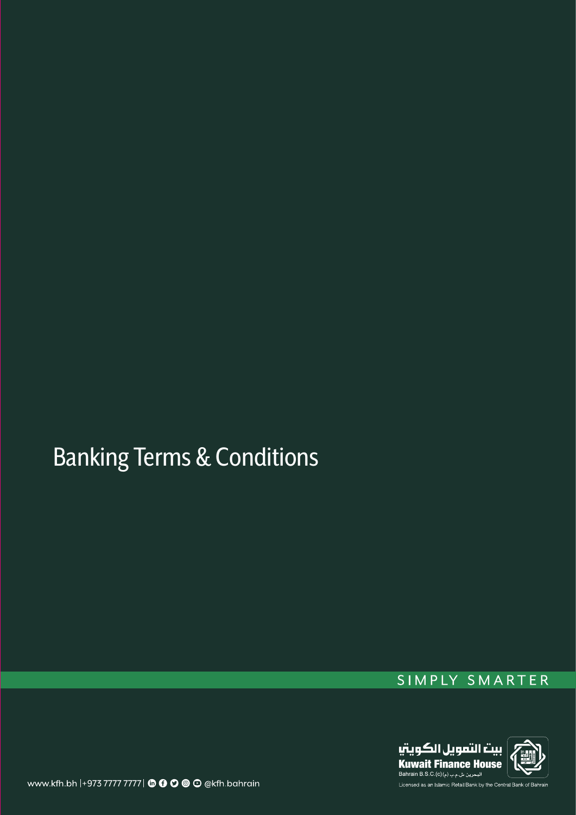# Banking Terms & Conditions

## SIMPLY SMARTER



www.kfh.bh |+973 7777 7777 | **to 0 0 0** @ kfh.bahrain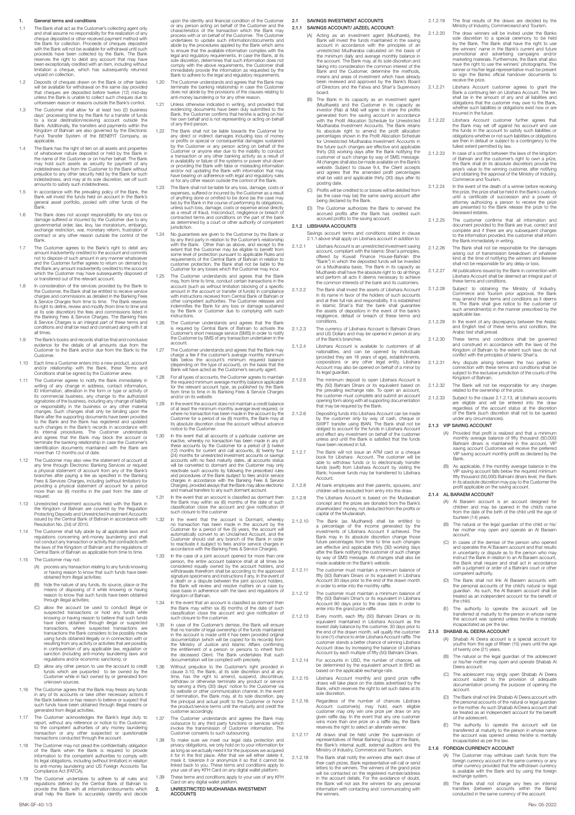#### 1. General terms and conditions

- Tre Bank shall act as the Customer's collecting agent only<br>check and shall assume no responsibility for the realization of any<br>cheque deposited or other recolved payment method with<br>the Bank for collection. Proceeds of che
- 1,2 Deposits of cheques drawn on the Bank or other banks<br>will be available for withdrawal on the same day provided<br>that cheques are deposited before twelve (12) mid-day<br>unless the Bank's unable to collect such cheques due
- 1.3 The Customer shall allow for at least two (2) business days' processing time by the Bank for a transfer of funds<br>to a local destination/receiving account outside the<br>Bank. Additionally, the transfers and payments within the<br>Kingdom of Bahrain are also governed by the Bectronic applicable.
- The Bank has the right of lien on all assets and properties<br>of whatsoever nature deposited or held by the Bank in<br>the name of the Oustomer or on his/her behalf. The Bank<br>may hold such assets as security for payment of any<br>
- 1.5 In accordance with the prevailing policy of the Bank, the Bank will invest the funds held on account in the Bank's general asset portfolio, pooled with other funds of the Bank.
- 1.6 The Bank does not accept responsibility for any loss or damage suffered or incurred by the Customer due to any governmental order, law, levy, tax moratorium, embargo, exchange restriction, war, monetay reform, frustrat Bank.
- Trane Customer agrees to the Bank's right to debit any<br>amount inadvertently credited to the account and commits<br>not to dispose of such amount in any manner whatsoever<br>and the Customer further agrees to return on demand by<br>
- In consideration of the services provided by the Bank to the chat to change and commissions as detailed to receive service charges and commissions as detailed in the Banking Fees. & Service Charges from time to time. The B
- 1.9 The Bank's books and records shall be final and conclusive evidence for the details of all amounts due from the Customer to the Bank and/or due from the Bank to the Customer.
- 1.10 Each time a Customer enters into a new product, account and/or relationship with the Bank, these Terms and Conditions shall be signed by the Customer anew.
- 1.11 The Customer agrees to notify the Bank immediately in writing of any change in address, contact information, ID information, alteration in the form or type or activity of its commercial business, any change to the aut Bank after the supporting documents have been provided to the Bank and the Bank has registered and updated such changes in the Bank's records in accordance with<br>tis internal procedures. The Customer understands<br>and agrees that the Bank may block the account or<br>terminate the banking relationship in case the Customer's<br>identifica
- 1.12 The Customer may also view the statement of account at any time through Electronic Banking Services or request<br>a physical statement of account from any of the Banking<br>branches after paying a fee as specified in the Banking<br>Fees & Services Charges, including (without limitation reame t.<br>reame
- 1.13 Unrestricted investment accounts held with the Bank in the Kingdom of Bahrain are covered by the Regulation Protecting Deposits and Unrestricted Investment Accounts issued by the Central Bank of Bahrain in accordance with Resolution No. (34) of 2010.
- 1.14 The Customer shall fully abide by all applicable laws and regulations concerning anti-money laundering and shall not conduct any transaction or activity that contradicts with the laws of the Kingdom of Bahrain and the
- 1.15 The Customer may not:
	- (A) process any transaction relating to any funds knowing or having reason to know that such funds have been obtained from illegal activities;
	- (B) hide the nature of any funds, its source, place or the means of disposing of it while knowing or having reason to know that such funds have been obtained through illegal activities;
	- (C) allow the account be used to conduct illegal or suspected transactions or hold any funds while knowing or having reason to believe that such funds have been obtained through illegal or suspected transactions, where suspected transactions are<br>transactions the Bank considers to be possibly made<br>using funds obtained illegally or in connection with or<br>resulting from any activity or achivities that are possibly<br>in cont
	- (D) allow any other person to use the account to credit funds which are purported to be owned by the Customer while in fact owned by or generated from unknown sources.
- 1.16 The Customer agrees that the Bank may freeze any funds<br>in any of its accounts or take other necessary actions if in any of its accounts or take other necessary actions if the Bank believes or has reason to believe or suspect that such funds have been obtained through illegal means or generated from illegal activities.
- 1.17 The Oustomer acknowledges the Bank's legal duty to report, without any reference or notice to the Oustomer, to the competent authorities of any money laundering transaction or any other suspected or questionable trans
- 1.18 The Customer may not plead the confidentiality obligation of the Bank when the Bank is required to provide<br>information to the competent authorities to comply with<br>its legal obligations, including (without limitation) in relation<br>to anti-money laundering and US Foreign Accounts Ta
- 1.19 The Customer undertakes to adhere to all rules and regulations defined by the Central Bank of Bahrain to provide the Bank with all information/documents which shall help the Bank to accurately identify and decide
- terminate the banking relationship in case the Customer does not abide by the provisions of the clauses relating to anti-money laundering or for any other reason.
- 1.21 Unless otherwise indicated in writing, and provided that evidencing documents have been duly submitted to the Bank, the Customer confirms that he/she is acting on his/ her own behalf and is not representing or acting on behalf of any third person.
- The Bank shall not be liable towards the Customer for<br>any direct or indirect damages including loss of money<br>or profits or special or consequential damages sustained<br>by the Customer or any person acting on behalf of the<br>Cu
- Trae Bank shall not be liable for any loss, damage, costs or<br>expenses, suffered or incurred by the Customer as a result<br>of anything done or omitted to be done (as the case may<br>be) by the Bank in the ocurse of performing it
- 1.24 No guarantees are given to the Oustomer by the Bank or<br>by any third party in relation to the Customer's relationship<br>with the Bank. Other than as above, and except to the<br>except that the Customer may be eligible to be customer protection, the Bank shall not be liable to the Customer for any losses which the Customer may incur.
- 1.25 The Customer understands and agrees that the Bank may, from time to time, conduct certain transactions in the account (such as without limitation blocking of a specific amount in the account or transfer of funds) in compliance<br>with instructions received from Central Bank of Bahrain or<br>other competent authorities. The Customer releases and<br>indemnifies the Bank for any loss or damage sustai instructions.
- 1.26 The Customer understands and agrees that the Bank<br>is required by Central Bank of Bahrain to activate the<br>Customer's short message service (SMS) in order to notify<br>the Customer by SMS of any transaction undertaken in t account.
- 1.27 The Customer understands and agrees that the Bank may<br>charge a fee if the customer's average monthly minimum<br>falls below the account's minimum required balance<br>(depending on the type of account), on the basis that the
- 1.28 For all types of accounts, the Customer agrees to maintain<br>the required minimum average monthly balance applicable<br>for the relevant account type, as published by the Bank<br>from time to time in its Banking Fees & Servic
- In the event the account does not maintain a credit balance<br>of at least the minimum monthly average level required, or<br>where no transaction has been made in the account by the<br>Customer for a period of six (6) months, the B
- 1.30 In the event that all accounts of a particular customer are inacchine, whereby no transaction has been made in any of these accounts by the Customer for a period of (i) twenty four (2) months for current and call acc reactivate such accounts by following the prescribed rules<br>and procedures of the Bank (subject to fees and/or service<br>charges in accordance with the Banking Fees & Service<br>Charges), provided always that the Banking valow e
- 1.31 In the event that an account is classified as dormant then<br>the Bank may within six (6) months of the date of such<br>classification close the account and give notification of<br>such closure to the customer
- 1.32 In the event that the account is Domant, whereby<br>no transaction has been made in the account by the<br>Customer for a period of five (5) years, the account will<br>automatically convert to an Unclained Account, and the<br>Cust
- In the case of a joint account balance shall at lines be<br>person, the entire account balance shall at all times be<br>considered equally owned by the account holders, and<br>withdrawals thereform shall be according to the approve
- 1.34 In the event that an account is classified as dormant then<br>the Bank may within six (6) months of the date of such<br>classification close the account and give notification of<br>such closure to the customer.
- In case of the Customer's demise, the Bank will ensure<br>that in the not term of the part of the contraction in the account is in account is more documentation (which will be objected to discussion the Ministry of Justice an
- Virhout prejudice to the Customer's right provided in drugs clause 3.10, the Bank, at its sole discretion and at any time, has the right to amend, suspend, discordinue, which with with with with the with the with with the
- 1.37 The Customer understands and agrees the Bank may outsource to any third party functions or services which involve the transmission of Customer information. The Customer consents to such outsourcing.
- T:38 To make sure we meet our legal data protection and<br>privacy obligations, we only hold on to your information for<br>as long as we actually need if for the purposes we acquired<br>it for the first place. After that we will ei
- 1.39 These terms and conditions apply to your use of any KFH Card on any digital wallet platform. 2. UNRESTRICTED MUDHARABA INVESTMENT

BNK-SF-40-1/3 Rev. 05-2022

ACCOUNTS

#### 2.1 SAVINGS INVESTMENT ACCOUNTS

- 2.1.1 SAVINGS ACCOUNT/ JAZEEL ACCOUNT: (A) Acting as an investment agent (Mudhareb), the Bank will invest the funds maintained in the saving account in accordance with the principles of an unrestricted Mudharaba calculated on the basis of the minimum daily and average monthly balance in<br>the account. The Bank may, at its sole discretion and<br>taking into consideration the common interest of the<br>Bank and the Customer, determine the methods,<br>means and areas of i
	- board.<br>
	(B) The Bank in its capacity as an investment agent<br>
	(B) The Bank in its capacity as an investment agent<br>
	(Mudhareb) and the Customer in its capacity as<br>
	investor (Ralo al Mal) will agree to share the profits.<br>
	Muc
	- (C) Profits will be credited to or losses will be debited from (as the case may be) the same saving account after being declared by the Bank.
	- (D) The Customer authorizes the Bank to reinvest the accrued profits after the Bank has credited such accrued profits to the saving account.

#### 2.1.2 LIBSHARA ACCOUNTS

- Savings account terms and conditions stated in clause 2.1.1 above shall apply on Libshara account in addition to:
- 2.1.2.1 Libshara Account is an unrestricted investment saving<br>account, compliant with the Islamic Shari's principles,<br>offered by Kuwait Finance House-Bahrain (the<br>"Bank") in which the deposited tunds will be invested<br>on a
- 2.1.2.2 The Bank shall invest the assets of Libshara Account in its name in favor of the holders of such accounts and at their full risk and responsibility. It is established in Islamic Shari'a that the bank shall guarantee the assets of depositors in the event of the bank's negligence, default or breach of these terms and conditions.
- 2.1.2.3 The currency of Libshara Account is Bahraini Dinars and US Dollars and may be opened in person at any of the Bank's branches.
- 2.1.2.4 Libshara Account is available to customers of all nationalities, and can be opened by individuals (provided they are 18 years of age), establishments, corporations or any other legal entity. Libshara Account may also be opened on behalf of a minor by its legal guardian.
- 2.1.2.5 The minimum deposit to open Libshara Account is fifty (50) Bahraini Dinars or its equivalent based on the prevailing exchange rate. To open an account the customer must complete and submit an account opening form along with all supporting documentation<br>that may be required by the Bank.
- that may be required by the Bank.<br>
2.1.2.6 Depositing funds into Libshara Account can be made<br>
by the customer only by way of cash, cheque or<br>
SWIFT transfer using IBAN. The Bank shall not be<br>
colliged to account for the f
- 2.1.2.7 The Bank will not issue an ATM card or a cheque about the about the control in the control in the control in the control in the function of the chemical transfer function of the function of the control. The control
- children will be excluded from entry into the draw. 2.1.2.9 The Libshara Account is based on the Mudarabah
- concept and the prizes are donated from the Bank's shareholders' money, not deducted from the profits or capital of the Mudarabah.
- 2.1.2.10 The Bank (as Mudhared) shall be entitled to a percentage of the income generated by the investments of LIbshara Account if achieved. The Bank may in its absolute discretion change those future percentages from time to time such changes are effective and applicable thirty (30) working days after the Bank notifying the customer of such change by way of SMS message. All changes shall also be made available on the Bank's website.
- 2.1.2.11 The customer must maintain a minimum balance of fifty (50) Bahraini Dinars or its equivalent in Libshara Account 30 days prior to the end of the drawn month in order to enter into the monthly raffle.
- 2.1.2.12 The customer must maintain a minimum balance of fifty (50) Bahraini Dinar's or its equivalent in Libshara Account 90 days prior to the draw date in order to enter into the grand prize raffle.
- 2.1.2.13 Every month, each fifty (50) Bahraini Dinars or its equivalent maintained in Libshara Account as the lowest daily balance by the customer, 30 days prior to the end of the drawn month, will qualify the customer of customer stands a better chance of winning Libshara Account draw by increasing the balance of Libshara Account by each multiple of fifty (50) Bahraini Dinars.
- 2.1.2.14 For accounts in USD, the number of chances will be determined by the equivalent amount in BHD as based on the applicable exchange rate.
- 2.1.2.15 Libshara Account monthly and grand prize raffle draws will take place on the dates advertised by the Bank, which reserves the right to set such dates at its sole discretion.
- 2.1.2.16 Regardless of the number of chances Libshara Account customer(s) may hold, each eligible<br>customer may only win one prize per draw on any<br>given raffle day. In the event that any one customer<br>wins more than one prize on a raffle day, the Bank<br>reserves the right to sele
- 2.1.2.17 All draws shall be held under the supervision of representatives of Retail Banking Group of the Bank, the Bank's internal audit, external auditors and the Ministry of Industry, Commerce and Tourism.
- 2.1.2.18 The Bank shall notify the winners after each chaw of<br>their cash prizes. Bank representative will call or send<br>tetters to the winners. The winners of the grand prize<br>will be contacted on the registered number/addre the winners.
- 2.1.2.19 The final results of the draws are decided by the Ministry of Industry, Commerceand and Tourism.
- 2.1.2.20 The draw winners will be invited under the Banks<br>sole discretion to a special ceremony to be held<br>by the Bank. The Bank shall have the right to use<br>the winners' name in the Bank's current and tuture<br>promotional an receive the prize.
- 2.1.2.21 Libshara Account customer agrees to grant the Bank a continuing lien on Libshara Account. The lien<br>shall be in the amount of any and all liabilities and<br>obligations that the customer may owe to the Bank,<br>whether s
- 2.1.2.22 Libshara Account customer further agrees that<br>the Bank may set off against his account and use<br>the funds in the account to satisfy such liabilities or<br>obligations whether or not such liabilities or obligations<br>are
- 2.1.2.23 In case of a conflict between the laws of the kingdom of Bahrain and the customer's right to own a prize,<br>the Bank shall (in its absolute discretion) provide the<br>prize's value to the winning customer, after notifying<br>and obtaining the approval of the Ministry of Industry,<br>Com
- 2.1.2.24 In the event of the death of a winner before receiving<br>the prize, the prize shall be held in the Bank's custody<br>until a certificate of succession and a power of<br>attomey authorizing a person to receive the prize<br>ar deceased estates.<br>The customer confirms that all information and
- 2.1.2.25 The customer confirms that all information and document provided to the Bank are true, correct and complete and if there are any subsequent changes to the information provided, the customer shall inform the Bank i
- 2.1.2.26 The Bank shall not be responsible for the damages arising out of transmission breakdown of whatever kind at the time of notifying the winners and likewise shall not be responsible for any delay or loss.
- 2.1.2.27 All publications issued by the Bank in connection with Libshara Account shall be deemed an integral part of these terms and conditions.
- 2.1.2.28 Subject to obtaining the Ministry of Industry,<br>Commerce and Tourism prior approval, the Bank<br>my may mend these terms and conditions as it deems<br>fit. The Bank shall give notice to the customer of<br>such anendment(s)
- 2.1.2.29 In the event of any discrepancy between the Arabic and English text of these terms and condition, the Arabic test shall prevail.
- 2.1.2.30 These terms and conditions shall be governed and construed in accordance with the laws of the Kingdom of Bahrain to the extent such laws do not conflict with the principles of Islamic Shari'a.
- 2.1.2.31 Any dispute arising between the two parties in connection with these terms and conditions shall be subject to the exclusive jurisdiction of the courts of the Kingdom of Bahrain.
- 2.1.2.32 The Bank will not be responsible for any charges<br>related to the ownership of the prize related to the ownership of the prize. 2.1.2.33 Subject to the clause 2.1.2.13, all Libshara accounts
	- are eligible and will be entered into the draw regardless of the account status at the discretion of the Bank (such discretion shall not to be queried under any circumstances).

#### 2.1.3 VIP SAVING ACCOUNT

- (A) Provided that profit is realized and that a minimum monthly average balance of fifty thousand (50,000) Bahraini dinars is maintained in the account, VIP saving account Customers will receive the preferred VIP saving account monthly profit as declared by the Bank.
- (B) As applicable, if the monthly average balance in the SV of Pure siving account falls below the required minimum fifty thousand (50,000) Bahraini dinars level, the Bank in its absolute discretion may pay to the Customer

#### 2.1.4 AL BARAEM ACCOUNT

- (A) Al Baraem account is an account designed for children and may be opened in the child's name from the date of the birth of the child until the age of fourteen (14) years.
- (B) The natural or the legal guardian of the child or his/ her mother may open and operate an Al Baraem account.
- (C) In cases of the demise of the person who opened and operates the Al Baraem account and that results in uncertainty or dispute as to the person who may instruct the Bank in relation to an Al Baraem account, the Bank shall require and shall act in accordance with a judgment or order of a Bahraini court or other competent authority.
- (D) The Bank shall not link Al Baraem accounts with<br>the personal accounts of the child's natural or legal<br>guardian. As such, the Al Baraem account shall be<br>treated as an independent account for the benefit of the child.
- (E) The authority to operate the account will be transferred at maturity to the person in whose name the account was opened unless he/she is mentally incapacitated as per the law.

#### 2.1.5 SHABAB AL DEERA ACCOUNT

2.1.6 FOREIGN CURRENCY ACCOUNT

- (A) Shabab Al Deera account is a special account for youths from the age of fifteen (15) years until the age of twenty one (21) years.
- (B) The natural or the legal guardian of the adolescent or his/her mother may open and operate Shabab Al Deera account.
- (C) The adolescent may singly open Shabab Al Deera account subject to the provision of adequate documentation proving the purpose of opening the account.
- (D) The Bank shall not link Shabab Al Deera account with the personal accounts of the natural or legal guardian or the mother. As such Shabab Al Deera account shall be treated as an independent account for the benefit of the adolescent.

(E) The authority to operate the account will be transferred at maturity to the person in whose name the account was opened unless he/she is mentally incapacitated as per the law.

(A) The Customer may withdraw cash funds from the foreign currency account in the same currency or any<br>other currency provided that the withdrawn currency<br>is available with the Bank and by using the foreign<br>exchange system

(B) The Bank shall not charge any fees on internal transfers (between accounts within the Bank) conducted in the same currency of the account.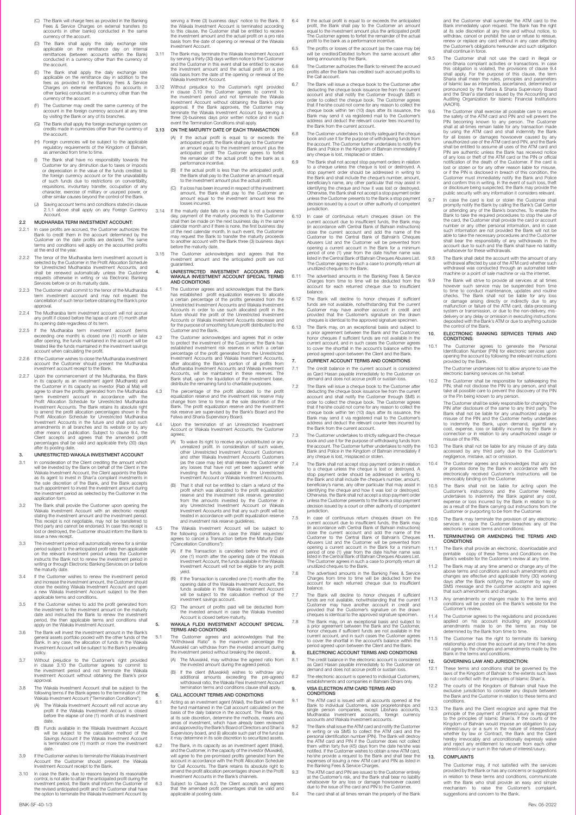- (C) The Bank will charge fees as provided in the Banking Fees & Service Charges on external transfers (to accounts in other banks) conducted in the same currency of the account.
- (D) The Bank shall apply the daily exchange rate applicable on the remittance day on internal remittances (between accounts within the Bank) conducted in a currency other than the currency of he account.
- (E) The Bank shall apply the daily exchange rate applicable on the remittance day in addition to the fees as provided in the Banking Fees & Service Charges on external remittances (to accounts in other banks) conducted in a currency other than the currency of the account.
- (F) The Customer may credit the same currency of the account in the foreign currency account at any time by visiting the Bank or any of its branches.
- (G) The Bank shall apply the foreign exchange system on credits made in currencies other than the currency of the account.
- (H) Foreign currencies will be subject to the applicable regulatory requirements of the Kingdom of Bahrain, as amended from time to time.
- (i) The Bank shall have no responsibility towards the Customer for any diminution due to taxes or imposts of depreciation in the value of the funds credited to the funds credited to the conspacement of row of such funds du
- (J) Saving account terms and conditions stated in clause 2.1.1 above shall apply on any Foreign Currency **Account**

#### 2.2 MUDHARABA TERM INVESTMENT ACCOUNT:

- 2.2.1 In case profits are accrued, the Customer authorizes the Bank to credit them in the account determined by the Customer on the date profits are declared. The same terms and conditions will apply on the accounted profi
- 2.2.2 The tenor of the Mudharaba term investment account is selected by the Customer in the Profit Allocation Schedule for Unrestricted Mudharaba Investment Accounts, and shall be renewed automatically unless the Customer requests otherwise in writing or via Electronic Banking Services before or on its maturity date.
- 2.2.3 The Customer shall commit to the tenor of the Mudharaba term investment account and may not request the cancellation of such tenor before obtaining the Bank's prior approval.
- 2.2.4 The Mudharaba term investment account will not accrue any profit if closed before the lapse of one (1) month after its opening date regardless of its term.
- 2.2.5 If the Mudharaba term investment account (terms exceeding one month) is closed one (1) month or later after opening, the funds maintained in the account will be freeded like the funds maintained in the investment sav account when calculating the profit.
- 2.2.6 If the Customer wishes to close the Mudharaba investment account the Customer should present the Mudharaba investment account receipt to the Bank.
- 2.2.7 Upon the commencement of the Mucharaba, the Bank<br>in its capacity as an investment agent (Muchareb) and<br>the Customer in its capacity as investor (Fab at Mal) will<br>agree to share the profits generated from the Mucharab amendments in all branches and its website or by any other means of publication. Subject to clause 9.4, the Client accepts and agrees that the amended profit percentages shall be valid and applicable thirty (30) days percentages<br>after its posting

- 3. UNRESTRICTED WAKALA INVESTMENT ACCOUNT<br>In consideration of the Client crediting the amount which<br>will be invested by the Bank on behalf of the Client in the<br>Wakala Investment Account, the Client appoints the Bank<br>as its
- The Bank shall provide the Customer upon opening the Viklada Investment Account with an electronic receipt<br>stating the investment amount and the investment period.<br>This receipt is not negotiable, may not be transferred to<br>
- issue a new receipt.<br>The investment period will automatically renew for a similar<br>period subject to the anticipated profit rate then applicable<br>on the relevant investment period substructs<br>instructs the Bank not to renew t
- 3.4 If the Customer wishes to renew the investment period and increase the investment amount, the Customer should close the existing Wakala Investment Account and open a new Wakala Investment Account subject to the then ap
- 3.5 If the Customer wishes to add the profit generated from the investment to the investment amount on the maturity date and instructed the Bank to renew the investment period, the then applicable terms and conditions shall apply on the Wakala Investment Account.
- 3.6 The Bank will invest the investment amount in the Bank's<br>general assets portfolio pooled with the other funds of the<br>Bank. In any case, the allocation of funds in the Wakala<br>Investment Account will be subject to the Ba policy.
- 3.7 Without prejudice to the Customer's right provided in clause 3.10 the Customer agrees to commit to the investment period and not terminate the Wakala Investment Account without obtaining the Bank's prior approval.
- 3.8 The Wakala Investment Account shall be subject to the following terms if the Bank agrees to the termination of the Wakala Investment Account ("Termination Conditions"):
	- (A) The Wakala Investment Account will not accrue any profit if the Wakala Investment Account is closed before the elapse of one (1) month of its investment date.
	- (B) Funds available in the Wakala Investment Account will be subject to the calculation method of the Savings Account if the Wakala Investment Account is terminated one (1) month or more the investment date.
- 3.9 If the Customer wishes to terminate the Wakala Investment Account the Customer should present the Wakala Investment Account receipt to the Bank.
- 3.10 In case the Bank, due to reasons beyond its reasonable control, is not able to attain the anticipated profit during the investment period, the Bank shall inform the Customer of the revised anticipated profit and the Customer shall have the option to terminate the Wakala Investment Account by
- 3.11 The Bank may terminate the Wakala Investment Account<br>by serving a thirty (30) days written notice to the Customer<br>and the Customer in this event shall be entitled to receive<br>the investment amount and the actual profit Wakala Investment Account.
- 3.12 Without prejudice to the Customer's right provided in clustes 3.10 the Customer agrees to commit to the investment period and not terminiate the Wakala Investment Account without obtaining the Bank's prior approval. I three (3)-business days prior written notice and in such event the Termination Conditions shall apply.
- 3.13 ON THE MATURITY DATE OF EACH TRANSACTION
	- (A) if the actual profit is equal to or exceeds the anticipated profit, the Bank shall pay to the Customer an amount equal to the investment amount plus the anticipated profit The Customer agrees to forfeit the remainder o
	- (B) If the actual profit is less than the anticipated profit, the Bank shall pay to the Customer an amount equal to the investment amount plus the actual profit.
	- (C) If a loss has been incurred in respect of the investment amount, the Bank shall pay to the Customer an amount equal to the investment amount less the losses incurred.
- 3.14 If the maturity date falls on a day that is not a business day, payment of the maturity proceeds to the Customer shall then be made on the next business day in the same calendar month and if there is none, the first business day<br>of the next calendar month. In such event, the Customer<br>may request the Bank to transfer the maturity proceeds<br>to another account with the Bank three (3) business
- 3.15 The Customer acknowledges and agrees that the investment amount and the anticipated profit are not guaranteed.

### 4. UNRESTRICTED INVESTMENT ACCOUNTS AND WAKALA INVESTMENT ACCOUNT SPECIAL TERMS AND CONDITIONS

- The Customer agrees and acknowledges that the Bank<br>has established profit equalization reserves to allocate<br>a certain percentage of the profits generated from the<br>Unrestricted Investment Accounts and Wakala Investment<br>Acco
- To Eustomer acknowledges and agrees that in order<br>to protect the investment of the Customer, the Bank has<br>established investment risk reserves in which a certain<br>precentage of the profit generated from the Unrestricted<br>Inv
- The percentage of the profit allocated to the profit<br>equalization reserve and the investment risk reserve may<br>change from time to time at the sole discretion of the<br>Bank. The profit equalization reserve and the investment<br>
- 4.4 Upon the termination of an Unrestricted Investment Account or Wakala Investment Accounts, the Customer
	- agrees: (A) To waive its right to receive any undistributed or any unrealized profit. In consideration of such waiver, other Unrestricted Investment Account Customers and other Wakala Investment Accounts Customers (as the case may be) shall release the Customer of any losses that have not yet been apparent while investing the funds available in the Unrestricted Investment Account or Wakala Investment Accounts.
	- (B) That it shall not be entitled to claim a refund of the profit equalization<br>reserve and the investment risk reserve, generated from the amounts invested by the Customer in<br>from the amounts invested by the Customer in<br>an
- 4.5 The Wakala Investment Account will be subject to the following conditions in case the Wakil requestes/ agrees to cancel a Transaction before the Maturity Date agrees to cancel a Transac<br>("Cancellation Conditions"):
	- (A) If the Transaction is cancelled before the end of one (1) month after the opening date of the Wakala Investment Account, the funds available in the Wakala Investment Account will not be eligible for any profit
	- yield.<br>
	(B) If the Transaction is cancelled one (1) month after the<br>
	opening date of the Wakala Investment Account, the<br>
	funds available in the Wakala Investment Account<br>
	will be subject to the calculation method of the<br>
	i
	- (C) The amount of profits paid will be deducted from the invested amount in case the Wakala Invested Account is closed before maturity.

### 5. WAKALA FLEXI INVESTMENT ACCOUNT SPECIAL TERMS AND CONDITIONS

- 5.1 The Customer agrees and acknowledges that the "Withdrawal Ratio" is the maximum percentage the Muwakkil can withdraw from the invested amount during the investment period without breaking the deposit.
	- (A) The Muwakkil, may withdraw the agreed ratio from the invested amount during the agreed period.
	- (B) If the client (Muwakkil) wishes to withdraw
	- additional amounts exceeding the pre-agreed withdrawal ratio, the Wakala Flexi Investment Account termination terms and conditions clause shall apply.

### 6. CALL ACCOUNT TERMS AND CONDITIONS

- 6.1 Acting as an investment agent (Wakil), the Bank will invest<br>the fund maintained in the Call account calculated on the<br>basis of the daily balance in the account. The Bank may<br>at its sole discretion, determine the method
- 6.2 The Bank, in its capacity as an investment agent (Wakil), and the Customer, in the capacity of the investor (Muwaki),<br>will agree to the pre-promised profits generated from the<br>account in accordance with the Profit Allocation Schedule<br>for Call Accounts. The Bank retains its absolu
- 6.3 Subject to Clause 6.2, the Client accepts and agrees that the amended profit percentages shall be valid and applicable at posting date.

BNK-SF-40-1/3 Rev. 05-2022

- 6.4 If the actual profit is equal to or exceeds the anticipated profit, the Bank shall pay to the Customer an amount equal to the investment amount plus the anticipated profit The Customer agrees to forfeit the remainder of the actual profit to the bank as a performance incentive. 6.5 The profits or losses of the account (as the case may be)
- will be credited/Debited to/from the same account after being announced by the Bank.
- 6.6 The Customer authorizes the Bank to reinvest the accrued profits after the Bank has credited such accrued profits to the Call account.
- The Bank will issue a cheque book to the Customer after<br>declucing the cheque book issuance fee from the current<br>account and shall notify the Customer through SMS in<br>order to collect the cheque book. The Customer agrees<br>the
- 6.8 The Customer undertakes to strictly safeguard the cheque book and use it for the purpose of withdrawing funds from the account. The Customer further undertakes to notify the Bank and Police in the Kingdom of Bahrain immediately if any cheque is lost, misplaced or stolen.
- 6.9 The Bank shall not accept stop payment orders in relation to a cheque unless the cheque is lost or destroyed. A stop payment order should be addressed in writing to the Bank and shall include the cheque's number, amount, beneficiary's mane, any other particular that may assist in identifying the cheque and how it was lost or destroyed. Otherwise, the Bank shall not accept a stop payme
- 6.10 In case of continuous return cheques drawn on the current account due to insufficient funds, the Bank may (in accordance with Central Bank of Bahrain instructions) close the current account and add the name of the Customer to the Central Bank of Bahrain's Cheques Abusers List and the Customer will be prevented from<br>opening a current account in the Bank for a minimum<br>period of one (1) year from the date his/her name was<br>listed in the Central Bank of Bahrain Cheques Abusers List.<br>The
- 6.11 The advertised amounts in the Banking Fees & Service Charges from time to time will be deducted from the account for each returned cheque due to insufficient balance.
- 6.12 The Bank will decline to honor cheques if sufficient funds are not available, notwithstanding that the current Customer may have another account in credit and provided that the Customer's signature on the drawn cheques is identical to the approved signature specimen.
- 6.13 The Bank may, on an exceptional basis and subject to a prior agreement between the Bank and the Customer, honor cheques if sufficient funds are not available in the current account, and in such cases the Customer agrees to cover the shortfall in the account's balance within the period agreed upon between the Client and the Bank. 7. CURRENT ACCOUNT TERMS AND CONDITIONS
- 
- 7.1 The credit balance in the current account is considered as Qard Hasan payable immediately to the Customer on demand and does not accrue profit or sustain loss. 7.2 The Bank will issue a cheque book to the Customer after
- deducting the cheque book issuance fee from the current count<br>account and shall notify the Customer through SMS in<br>order to collect the cheque book. The Customer agrees<br>that if he/she could not come for any reason to colle the Bank from the current account.
- 7.3 The Customer undertakes to strictly safeguard the cheque book and use it for the purpose of withdrawing funds from the account. The Customer further undertakes to notify the Bank and Police in the Kingdom of Bahrain immediately if any cheque is lost, misplaced or stolen.
- 7.4 The Bank shall not accept stop payment orders in relation<br>to a cheque unless the cheque is lost or destroyed. A<br>stop payment order should be addressed in writing to<br>the Bank and shall include the cheque's number, amoun beneficiary's name, any other particular that may assist in<br>identifying the cheque and how it was lost or destroyed.<br>Otherwise, the Bank shall not accept a stop payment order<br>unless the Customer presents to the Bank a stop jurisdiction.
- 7.5 In case of continuous return cheques drawn on the current account due to insufficient funds, the Bank may<br>(in accordance with Central Bank of Bank may<br>close the current account and add the name of the<br>Customer to the C
- 7.6 The advertised amounts in the Banking Fees & Service Charges from time to time will be deducted from the account for each returned cheque due to insufficient
- balance.<br>The Bank will decline to honor cheques if sufficient<br>funds are not available, notwithstanding that the current<br>Customer may have another account in credit and<br>provided that the Customer's signature on the drawn cheques is identical to the approved signature specimen.
- 7.8 The Bank may, on an exceptional basis and subject to a prior agreement between the Bank and the Customer, honor cheques if sufficient funds are not available in the current account, and in such cases the Customer agrees to cover the shortfall in the account's balance within the period agreed upon between the Client and the Bank. 8. ELECTRONIC ACCOUNT TERMS AND CONDITIONS
- 8.1 The credit balance in the electronic account is considered as Qard Hasan payable immediately to the Customer on as Qard Hasan payable immediately to the Custodemand and does not accrue profit or sustain loss.
- 8.2 The electronic account is opened to individual Customers, establishments and companies in Bahraini Dinars only. 9. VISA ELECTRON ATM CARD TERMS AND

#### **CONDITIONS**

- 9.1 The ATM card is issued with all accounts opened at the Bank to individual Customers, sole proprietorships and single person companies, except Libshara accounts, Mudharaba Investment accounts, foreign currency accounts and Wakala Investment accounts.
- The Bank shall issue the ATM card and notify the Customer<br>in writing or via SMS to collect the ATM card and the<br>personal identification number (PIN). The Bank will destroy<br>the ATM card and PIN if the Customer does not coll he/she provide a request to the Bank and shall bear the expenses of issuing a new ATM card and PIN as listed in the Banking Fees & Service Charges.
- 9.3 The ATM card and PIN are issued to the Customer entirely<br>at the Customer's risk, and the Bank shall bear no liability<br>whatsoever for any loss or damage howsoever caused<br>due to the issue of the card and PIN to the Custo
- 9.4 The card shall at all times remain the property of the Bank

and the Customer shall surrender the ATM card to the<br>Bank immediately upon request. The Bank has the right<br>at its sole discretion at any time and without notice, to<br>withdraw, cancel or profibilit the use or relise to relas

- 9.5 The Customer shall not use the card in illegal or non-Sharia compliant activities or transactions. In case non-Sharia compliant activities or transactions. In case of this obligation is violated, the provisions of clause 9.4 shall apply. For the purpose of this clause, the term Sharia shall mean the rules, principles and parame
- 9.6 The Customer shall were the same to ensure the safety of the ATM card and PIN and will prevent the PIN becoming known to any person. The Customer shall at all-times remain liable for any transaction made by using the A
- promptly notify the Bank by calling the Bank's Call Center<br>or attending any of the Bank's branches. To enable the<br>Bank to take the required procedures to stop the use of<br>the Card, the Customer shall provide the card or acc
- 9.8 The Bank shall debit the account with the amount of any<br>withdrawal affected by use of the ATM card whether such<br>withdrawal was conducted through an automated teller<br>machine or a point of sale machine or via the interne
- The Bank will strive to provide all services at all times<br>however such service may be suspended from time<br>to time to conduct maintenance, updates and routine<br>checks. The Bank shall not be liable for any loss<br>or damage aris delivery or any delay or omission in executing instructions deposited with the Bank's ATM or due to anything outside the control of the Bank.

#### 10. ELECTRONIC BANKING SERVICES TERMS AND CONDITIONS:

- 10.1 The Customer agrees to generate the Personal Identification Number (PIN) for electronic services upon opening the account by following the relevant instructions provided by the Bank. The Customer undertakes not to allow anyone to use the
- 
- electronic banking services on his behalf.<br>The Customer shall be responsible for safekeeping the<br>PN, shall not disclose the PN to any person, and shall<br>take all possible care to prevent the discovery of the PN<br>or the Pin b
- The Customer shall be solely responsible for changing the<br>PIN after disclosure of the same to any third party. The<br>Bank shall not be liable for any unauthorized usage or<br>misuse of the PIN and the Customer herby undertakes<br>
- 10.3 The Bank shall not be liable for any misuse of any data accessed by any third party due to the Customer's negligence, mistake, act or omission.
- 10.4 The Customer agrees and acknowledges that any act or process done by the Bank in accordance with the electronically received Customer's instructions will be irrevocably binding on the Customer.
- 10.5 The Bank shall not be liable for acting upon the Customer's instructions and the Customer hereby undertakes to indemnify the Bank against any cost, expense or loss incurred by the Bank in relation to or as a result of the Bank carrying out instructions from the Customer or purporting to be from the Customer.
- 10.6 The Bank may terminate the provision of any electronic services in case the Customer breaches any of the

#### electronic services terms and conditions. 11. TERMINATING OR AMENDING THE TERMS AND **CONDITIONS** 11.1 The Bank shall provide an electronic, downloadable and printable copy of these Terms and Conditions on the Bank's website for the Customer's review at any time.

The Bank may at any time amend or change any of the<br>above terms and conditions and such amendments and<br>changes are effective and applicable thirty (30) working<br>days after the Bank notifying the customer by way of<br>SMS messa

11.3 Any amendments or changes made to the terms and conditions will be posted on the Bank's website for the Customer's review.

11.4 The Customer agrees to the regulations and procedures applied on his account including any procedural amendments made to on the terms as may be determined by the Bank from time to time.

11.5 The Customer has the right to terminate its banking relationship and close the account at any time if he does not agree to the changes and amendments made by the Bank in the terms and conditions.

12.1 These terms and conditions shall be governed by the<br>laws of the Kingdom of Bahrain to the extents such laws<br>do not conflict with the principles of Islamic Shari'a.<br>12.2 The courts of the Kingdom of Bahrain shall have

12.3 The Bank and the Client recognize and agree that the principle of the payment of interest/usury is repugnant to the principles of Islamic Shari'a. If the courts of the Kingdom of Bahrain would impose an obligation to

interest/usury or a sum in the nature of interest/usury<br>whether by law or Contract, the Bank and the Client<br>hereby irevocably and unconditionally expressly waive<br>and reject any entitlement to recover from each other<br>intere

 The Customer may, if not satisfied with the services provided by the Bank or has any concerns or suggestions in relation to these terms and conditions, communicate with the Bank who shall provide an easy and simple mechanism to raise the Customer's complaint, suggestions and concern to the Bank.

12. GOVERNING LAW AND JURISDICTION:

13. COMPLAINTS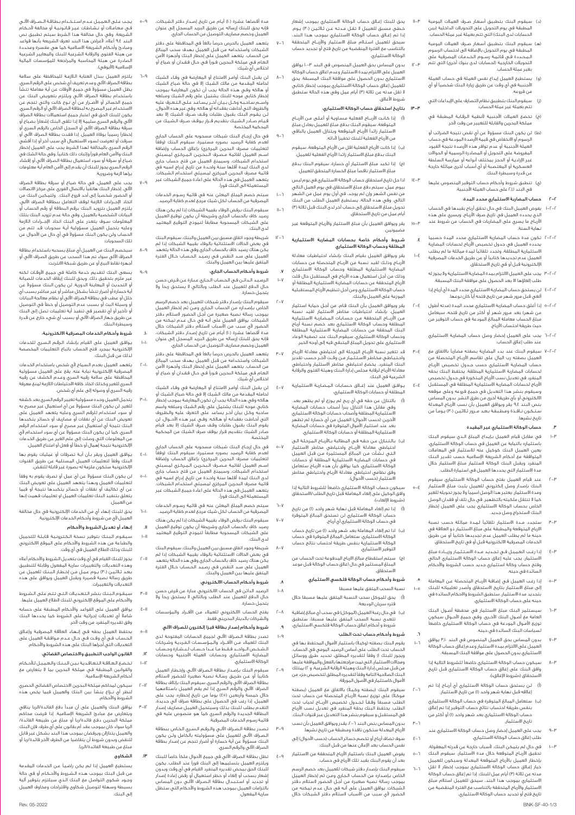- )د( سيقوم البنك بتطبيق أسـعـار صـرف العمالت اليومية المطبقة في يوم التحويل على التحويالت الداخلية )بين .<br>الحسابات لدى البنك) التي تتم بعملة غير عملة الحساب.
- ّهـ) سيقوم البنك بتطبيق اسـعـار صـرف العمالت اليومية<br>المطبقة في يوم التحويل بالإضافة الى احتساب الرسوم لـمـحــددة فـي قـائـمـة رســـوم الـخــدمـات المصـرفية على<br>لتحويلات الخارجية (لحسابات لدى بنوك أخرى) التي تتم بغير عملة الحساب.
- )و( يستطيع العميل إيداع نفس العملة في حساب العملة األجنبية في أي وقت عن طريق زيارة البنك شخصيًا أو أي من فروعه.
- )ز( سيقوم البنك بتطبيق نظام التصارف على اإليداعات التي تتم بعملة غير عملة الحساب.
- )ح( تخضع العمالت األجنبية ألنظمة الـرقـابـة المطبقة في ٍ مملكة البحرين والقابلة للتغيير من وقت آلخر.
- َّط) لن يكون البنك مسؤولاً عن أي نقص نتيجة الضرائب أو<br>الرسوم أو الانخفاض في قيمة الأرصدة المودعة في حساب .<br>العملة الأجنبية أو عدم توافر هذه الأرصدة نتيجة القيود المفروضة على التحويل أو المصادرة الرسمية أو الحواالت غير اإلراديـة أو الحجز بمختلف أنواعه أو ممارسة السلطة العسكرية أو المغتصبة أو أي أسباب أخرى مماثلة خارجة .<br>عن قدرة وسيطرة البنك.
- )ي( تنطبق شروط وأحكام حساب التوفير المنصوص عليها في البند 2.1.1 على حساب العملة األجنبية.

#### .<br>ب المضاربة الاستثماري محدد المدة:

- 1-2-2 يفوض العميل البنك في حال تحقق أرباح بقيدها في الحساب الذي يحدده العميل في تاريخ صرف األربـاح. ويسري على هذه األربـاح ما يسري على المضاربات في الحساب من شروط عند نهاية السنة.
- 2-2-2 تكون مدة حساب المضاربة االستثماري محدد المدة حسبما حدده العميل في جدول تخصيص الارباح لحسابات المضاربة<br>لاستثمارية المطلقة، وتجدد تلقائياً لمدة مماثلة ما لم يطلب لعميل عدم تجديدها كتابيا او عن طريق الخدمات المصرفية<br>لإلكترونية قبل أو في تاريخ الاستحقاق.
	- 3-2-2 يجب على العميل االلتزام بمدة المضاربة االستثمارية وال يجوز له طلب إلغاؤها اال بعد الحصول على موافقة البنك المسبقة.
	- 4-2-2 لن يستحق حساب المضاربة االستثماري محدد المدة أي أرباح إذا ألغي قبل مرور شهر من تاريخ فتحه أيًا كان نوعها.
- 5-2-2 إذا أغلق حساب المضاربة االستثماري محدد المدة )مدته أطول من شهر( بعد مـرور شهر أو أكثر من تاريخ فتحه، سيعامل مبلغ الحساب معاملة المبالغ المودعة في حساب التوفير من حيث طريقة احتساب األرباح.
- 6-2-2 يجب على العميل إحضار وصل حساب المضاربة االستثماري عند طلب إغالق الحساب.
- 7-2-2 سيقوم البنك عند بدء المضاربة بصفته مضاربًا باالتفاق مع العميل بصفته رب المال على تقاسم األربــاح المتحصلة من حساب المضاربة الاستثماري حسب جـدول تخصيص الاربـاح<br>حسابات المضاربة الاستثمارية المطلقة. يحتفظ البنك بحقه<br>لمنفرد في تعديل نسب الأرباح المذكورة في جدول تخصيص األرباح لحسابات المضاربة االستثمارية المطلقة في المستقبل وسيقوم بنشر هذا التعديل في جميع فروعه وعلى موقعه لالكتروني او باي طريقة اخرى من طرق النشر. بدون المساس<br>ـنص البند ٩،٤ يقر ويوافق العميل بأن نسب الأرباح المعدلة سـتـكـون نــافــذة ومـطـبـقـة بـعـد مـــرور ثـاثـيـن )30( يـومـً من . .<br>تاريخ نش

#### .3 حساب الوكالة االستثماري غير المقيدة

- 1-3 في مقابل قيام العميل بـإيـداع المبلغ الــذي سيقوم البنك باستثماره بالنيابة عن العميل في حساب الوكالة االستثماري، يعين العميل البنك كوكيل عنه لالستثمار في المعامالت المتوافقة مع أحكام الشريعة اإلسالمية حسب تقدير البنك لمنفرد ويقبل البنك الوكالة لاستثمار مبلغ الاستثمار خلال<br>عدة الاستثمار التي يحددها العميل في استمارة الطلب.
- 2-3 عند قيام العميل بفتح حساب الوكالة االستثماري سيقوم البنك بإصدار وصل إلكتروني للعميل يثبت مبلغ االستثمار ومدة االستثمار. يعتبر هذا الوصل اسميًا وال يجوز تحويله للغير كما ال تنتقل ملكيته بالتظهير. في حال تلف أو فقدان الوصل الخاص بحساب الوكالة االستثماري يجب على العميل إخطار البنك الستخراج وصل جديد.
- 3-3 ستجدد مــدة االستثمار تلقائيًا لـمـدة مماثلة حسب نسبة لارباح المتوقعة والمطبقة على مبلغ الاستثمار ذو العلاقة في<br>حينه ما لم يطلب العميل عدم تجديدها كتابياً أو عن طريق الخدمات المصرفية االلكترونية قبل أو في تاريخ االستحقاق.
- 4-3 إذا رغـــب الـعـمـيـل فــي تـجـديـد مـــدة االسـتـثـمـار وزيـــــادة مبلغ االستثمار، يجب عليه إغالق حساب الوكالة االستثماري الحالي وفتح حساب وكالة استثماري جديد حسب الشروط واألحكام السائدة في حينه.
- إذا رغـب العميل فـي إضافـة الأربــاح المتحصلة عـن المعاملة إلى مبلغ االستثمار بتاريخ االستحقاق وأصدر تعليماته للبنك بتجديد مدة االستثمار، ستطبق الشروط واالحكام السائدة في حينه على حساب الوكالة االستثماري.
	- 6-3 سيستثمر البنك مبلغ االستثمار في محفظة أصـول البنك سيسسمبر سبب - سبب - سبب - سبب - ســون - ســوال سيكون<br>العامة مع أصــول البنك الأخــرى. وفـي جميع الأحــوال سيكون نوزيع الاموال المودعة في حساب الوكالة الاستثماري خاضعا<br>سياسات البنك السائدة في حينه.
- 7-3 بدون المساس بحق العميل المنصوص في البند 3.10 يوافق العميل على االلتزام بمدة االستثمار وعدم إغالق حساب الوكالة االستثماري بدون الحصول على موافقة البنك المسبقة.
- 8-3 سيكون حساب الوكالة االستثماري خاضعًا للشروط التالية إذا وافق البنك على إغالق حساب الوكالة االستثماري قبل تاريخ االستحقاق )»شروط اإلغالق«(:
- )أ( لـن يستحق حساب الوكالة االستثماري أي أربــاح إذا تم .<br>|غلاقه قبل نهاية شهر واحد (ا) من تاريخ الاستثمار.
- )ب( ستعامل المبالغ المتوفرة في حساب الوكالة االستثماري بنفس طريقة احتساب نتائج حساب التوفير إذا تم إغالق حساب الوكالة االستثماري بعد شهر واحد )1( أو أكثر من تاريخ االستثمار.
- على العميل إحضار وصل حساب الوكالة الاستثماري عند طلب إغالق حساب الوكالة االستثماري.
- 10-3 في حال لم يتمكن البنك، ألسباب خارجة عن قدرته المعقولة، تحقيق األربــاح المتوقعة خالل مدة االستثمار، سيقوم البنك إخطار العميل بالارباح المتوقعة المعدلة وسيكون للعميل<br>خيار إغــاق حساب الوكالة الاستثماري بموجب إخطار لا تقل .<br>بدته عن ثلاثة (٣) أيام عمل للبنك. إذا تم إغلاق حساب الوكالة االستثماري بموجب هذا البند، سيحق للعميل استالم مبلغ لاستثمار والارباح المتحققة بالتناسب مع الفترة المنقضية من<br>ناريخ فتح أو تجديد حساب الوكالة الاستثماري.

BNK-SF-40-1/3

- .<br>يحق للبنك إغـالق حساب الوكالة الاستثماري بموجب إشعار خـطـي مسبق للعميل ال تـقـل مـدتـه عــن ثـاثـيـن )30( يــوم. <sub>ا</sub>ذا تم إغــاق حساب الوكالة الاستثماري بموجب هـذا البند،<br>سيحق للعميل اسـتــلام مبـلغ الاستثمار والأربـــاح المتحققة بالتناسب مع الفترة المنقضية من تاريخ فتح أو تجديد حساب الوكالة االستثماري.
- 12-3 بدون المساس بحق العميل المنصوص في البند 10-3 يوافق العميل على االلتزام بمدة االستثمار وعدم اغالق حساب الوكالة المنهين على السرام بمحدة السلسور وعدة البنك المسبقة. يحق<br>الاستثماري بدون الحصول على موافقة البنك المسبقة. يحق للعميل إغلاق حساب الوكالة الاستثماري بموجب إخطار كتابي<br>لا تقل مدته عن ثلاثة (٣) أيام عمل وفي هذه الحالة ستطبق شروط األغالق.

#### 13-3 بتاريخ استحقاق حساب الوكالة االستثماري:

- )أ( إذا كـانـت األربــــاح الفعلية مـسـاويـة أو أعـلـى مـن األربـــاح لمتوقعة، سيقوم البنك بدفع مبلغ للعميل يعادل مبلغ<br>لاستثمار زائداً الأرباح المتوقعة ويتنازل العميل بالباقى من األرباح الفعلية للبنك تحفيزًا ألدائه.
- )ب( إذا كانت األرباح الفعلية اقل من األرباح المتوقعة، سيقوم .<br>البنك بدفع مبلغ الاستثمار زائدا الأرباح الفعلية للعميل.
- )ج( إذا تكبد مبلغ االستثمار أي خسارة، سيقوم البنك بدفع .<br>مبلغ الاستثمار ناقصاً مبلغ الخسارة المتحقق للعميل. 14-3 اذا حل تاريخ استحقاق حساب الوكالة االستثماري في يوم ليس
- بيوم عمل، سيتم دفعَ مبلغَ الاستحقاق في يوم العمل التالي<br>من نفس الشهر وإن لم يوجد، في أول يوم عمل من الشهر التالي. وفي هذه الحالة، يستطيع العميل الطلب من البنك تحويل مبلغ االستحقاق إلى حساب آخر لدى البنك قبل ثالثة )3( أيام عمل من تاريخ االستحقاق.
- 15-3 يقر ويوافق العميل بأن مبلغ االستثمار واألربـاح المتوقعة غير مضمونين.

#### .<br>شــروط وأحكام خاصة بحسابات المضاربة الاستثمارية سمرد –<br>المطلقة وحساب الوكالة الاستثماري

1-4 يقر ويوافق العميل بقيام البنك بإنشاء احتياطيات معادلة الربـــاح وذلــك لقيــد نـسبة من الاربـــاح المتحـصلة من حسابات<br>لمضاربة الاستثمارية المطلقة وحساب الوكالة الاستثماري وذلك من اجل استعمال هذه الآرباح في المستقبل حال قلت<br>الأرباح المتحققة عن حسابات المضاربة الاستثمارية المطلقة أو حساب الوكالة االستثماري ومن أجل تنظيم األرباح المستقبلية .<br>الموزعة على العميل والبنك.

- 2-4 يقر ويوافق العميل بـأن البنك قـام، من أجـل حماية استثمار لعميل، بإنشاء احتياطيات مخاطر الاستثمار لقيد نسبة<br>مـن الأربــاح المتحققة مـن حـسابـات الـمـضـاربـة الاستثمارية لمطلقة وحساب الوكالة الاستثماري بعد خصم نسبة أرباح<br>لبنك المحققة من حسابات المضاربة الاستثمارية المتبارية<br>وحساب الوكالة الاستثماري سيقوم البنك عند تصفية الوعاء<br>لاستثماري على تحويل المبلغ المتبقي فيه إلى أوجه الخير.
- 3-4 ُ قد تتغير نسبة األربــاح المرحلة الى احتياطي معادلة األربـاح واحـتـيـاطـي مخـاطـر الاسـتـثـمـار مـن وقــت لاخـر حـسـب تقدير<br>لبنك المنفرد. يخضع احتياطي مخاطر اُلاستثمار واحتياطي معادلة األرباح لرقابة مجلس إدارة البنك وهيئة الفتوى والرقابة الشرعية في البنك.
- 4-4 يـوافـق العميل عند إغـــاق حـسـابـات الـمـضـاربـة االستثمارية المطلقة أو حسابات الوكالة االستثماري:
- (۱) بالتنازل عن حقه في اي ربـح لم يـوزع او لم يظهر بعد.<br>وفي مقابل هذا التنازل يبرأ أصحاب حسابات الوكمر<br>الاستثمارية المطلقة وأصحاب حسابات الوكالة الاستثماري الآخرين (حسب الأحوال) العميل من أي خسارة لم تظهر بعد عند استثمار الاموال المتوفرة في حسابات المضاربة<br>لاستثمارية المطلقة أو حسابات الوكالة الاستثمارو.
- )ب( بـالـتـنـازل عـن حـقـه فـي المطالبة بــاألربــاح الـمـرحـلـة الـى حتياطي معادلة الاربــاح واحتياطي مخاطر الاستثمار<br>لـتـى نـشـأت مـن المبالغ المستثمرة مـن قبـل العميل في حسابات المضاربة االستثمارية المطلقة أو حسابات الوكالة االستثماري، كما يوافق بأن هذه األربـاح ستعامل وفق نظامي احتياطي معادلة األربـاح واحتياطي مخاطر وفق تصديق ،حصب ب —<br>الاستثمار (حسب الأحوال).
- 5-4 سيكون حساب الوكالة االستثماري خاضعًا للشروط التالية إذا وافق المعامل على المعاملة قبل تاريخ الطلب/الاستحقاق<br>كيل على إلغاء المعاملة قبل تاريخ الطلب/الاستحقاق ،<br>وافق الوكيل علو<br>(«شروط الإلغاء»):
- )أ( إذا تم إلغاء المعاملة قبل نهاية شهر واحد )1( من تاريخ حساب الوكالة الاستثماري لن تستحق المبالغ المتوفرة<br>في حساب الوكالة الاستثماري أي أرباح.
- )ب( اذا تم إلغاء المعاملة بعد شهر واحد )1( من تاريخ حساب الوكالة االستثماري، ستعامل المبالغ المتوفرة في حساب الوكالة االستثمارية بنفس طريقة احتساب نتائج حساب التوفير االستثماري.
- )ج( سيتم استقطاع مبالغ االرباح المدفوعة تحت الحساب من سيمه المصنعان فياق الراباح المنحوفة حصة المساب عن<br>المبلغ المستثمر في حال اغالق حساب الوكالة قبل موعد .<br>ناة ا

#### .5 شروط وأحكام حساب الوكالة فلكسي االستثماري

- 1-5 نسبة السحب المتفق عليها مسبقا )أ( يحق للموكل سحب النسبة المتفق عليها مسبقا خالل فتره سريان الوديعة.
- (ب) في حال رغبة العميل (الموكل) في سحب اي مبالغ إضافية<br>تتعدى نسبة السحب المتفق عليها مسبقا، ستصابق<br>شروط و أحكام اغلاق حساب الوكالة فلكسى الاستثمارى.

#### .6 شروط وأحكام حساب تحت الطلب

1-6 ً يقوم البنك بصفته )وكيال( باستثمار األموال المحتفظ بها في يعوه البنت بتحت الركيم باستمبار الاتوان المتحصد بساب.<br>لحساب تحت الطلب على أساس الرصيد اليومي في الحساب ويجوز للبنك 1( وفقًا لتقديره المطلق، تحديد طـرق ووسائل ومجاالت االستثمار، التي تمت مراجعتها بالفعل والموافقة عليها من قبل مجلس إدارة البنك وهيئة الرقابة الشرعية، و 2( يمتلك البنك الصالحية التامة وفقًا لتقديره المطلق لتخصيص جزء من .<br>اأموال كاستثمار في الأصول المورقة.

- -<br>1-6 سيقوم البنك (بصفته وكيـلاً) بالاتفاق مع العميل (بصفته سيسوم البلت السمية ولليبيا باديمان المربيع المتحدة.<br>موكـلاً) على توزيع نسبة الأربــاح المتحصلة من حساب تحت لطلب مسبقا وفـقـًا لـجـدول تخصيص الاربـــاح لحياب تحت<br>لطلب. يحتفظ البنك بحقة المنفرد في تعديل نسب الأرباح<br>فى المستقبل و سيقوم بنشر هذا التعديل عبر قنوات البنك.
- .<br>1-٣ بدون المساس بنص البند ٦-٢، يقدر ويوافق العميل بأن نسب .<br>الأرباح المعدلة ستكون نافذة ومطبقة من تاريخ نشرها.
- 4-6 سوف تضاف أرباح أو تخصم خسائر الحساب )حسب األحوال( إلى نفس الحساب بعد اإلعالن عنها من قبل البنك.
- 5-6 يفوض العميل البنك باستثمار األرباح المتحققة من االستثمار بعوس المحين البنت ...<br>بعد أن يقوم البنك بقيد تلك الأرباح في حساب.
- 6-6 سيقوم البنك بإصدار دفتر شيكات للعميل بعد خصم الرسم لخاص بـإصـداره من الحساب الـجاري ومـن ثم إخطار العميل<br>بموجب رسالة نصية صغيرة من أجـل الحضور الستالم دفتر<br>لشيكات، يوافق العميل على أنـه في حـال عـدم تمحنه<br>لحـضـور أل سبب من الأسباب الستالم دفتر الشيكات خالل
- مدة أقصاها عشرة )10( أيـام من تاريخ إصـدار دفتر الشيكات، فإنه يحق للبنك إرساله عن طريق البريد المسجل إلى عنوان<br>العميل وخصم مصاريف التوصيل من الحساب الجاري.
- 7-6 يتعهد العميل بالحرص حرصًا بالغًا في المحافظة على دفتر الشيكات واستخدامه من قبل العميل بهدف سحب المبالغ من الحساب. يتعهد العميل على إخطار البنك واجهزة الامن<br>العام في مملكة البحرين فـوراً فـي حـال فقـدان أو ضياع أو<br>اختلاس أي شيك.
- 1–٨ لن يقبل البنك اوامـر الامتناع او المعارضة في وفـاء الشيك<br>لحامله المقدمة من مالك الشيك إلا في حالة ضياع الشيك<br>أو هالكه وفي هـذه الحالة يجب أن تكون المعارضة بموجب<br>إخطار كتابي موجه للبنك يشتمل على رقم الشيك ومبلغه واســـم سـاحـبـه وكــل بـيـان اخــر يـسـاعـد عـلـى الـتـعـرف عليه<br>والظروف التي أحاطت بفقدانه أو هلاكه. وفي غير هذه الأحوال،<br>لـن يـقـوم البنك بقبول طلبات وقـف صـرف الشيك إلا بعد .<br>قيــام صــادر الـشـيـك بتقديم قــرار بـوقـف صــرف الـشيـك من<br>المحكمة المختصة المحكمة المختصة.
- 9-6 في حال إرجـاع البنك شيكات مسحوبه على الحساب الجاري لعدم كفاية الرصيد بصوره مستمرة، سيقوم البنك )وفقًا لتعليمات مصرف البحرين المركزي) بإغلاق الحساب وإضافة<br>اســم العميل لقائمة مـصـرف الـبـحـريـن الـمـركـزي لمسيئي استخدام الشيكات، وسيمنع العميل من فتح حساب جاري<br>لدى البنك لمدة أقلها سنة واحـدة من تاريخ إدراج اسمه فى قائمة مصرف البحرين المركزي لمسيئي استخدام الشيكات.<br>يتعهد العميل في هذه الحالة على اعادة جميع الشيكات غير<br>المستعملة الى البنك فوراً.
- 10-6 سيتم خصم المبلغ المعلن عنه في قائمة رسـوم الخدمات المصرفية من الحساب لكل شيك مرجع لعدم كفاية الرصيد. 11-6 سيقوم البنك برفض الوفاء بقيمة الشيكات إذا لم يكن هناك
- رصيد كاف بالحساب الجاري وشريطة ان يكون توقيع العميل<br>على الشيكات المسحوبة مطابقاً لنموذج التوقيع المعتمد عس المسي<br>حو البنك.
- 12-6 شريطة وجود اتفاق مسبق بين العميل والبنك، سيقوم البنك في بعض الحالات الاستثنائية بالوفاء بقيمة الشيكات إذا لم<br>يكن هناك رصيد كاف بالحساب الجاري وفي هذه الحالة يتعهد<br>العميل على سـد النقص فـى رصـيـد الـحـساب خــالل الفترة المتفق عليها بين العميل والبنك.

#### .7 شروط وأحكام الحساب الجاري:

- 1-7 الـرصـيـد الـدائـن فـي الـحـسـاب الـجـاري عـبـارة عـن قــرض حسن حـال الدفع للعميل عند الطلب وبالتالي ال يستحق ربحًا وال يتحمل خسارة.
- .<br>سيقوم البنك بإصدار دفتر شيكات للعميل بعد خصم الرسم الخاص بـإصـداره من الحساب الـجـاري ومـن ثم إخطار العميل بموجب رسالة نصية صغيرة من أجـل الحضور الستالم دفتر الشيكات. يوافق العميل على أنـه في حـال عـدم تمكنه من الحضور ألي سبب من األسباب الستالم دفتر الشيكات خالل عدة اقصاها عشرة (۱۰) ايـام من تاريخ إصـدار دفتر الشيكات،<br>فإنه يحق للبنك إرساله عن طريق البريد المسجل إلى عنوان<br>العميل وخصم مصاريف التوصيل من الحساب الجارق.
- 3-7 يتعهد العميل بالحرص حرصًا بالغًا في المحافظة على دفتر الشيكات واستخدامه من قبل العميل بهدف سحب المبالغ من الحساب. يتعهد العميل على إخطار البنك وأجهزة األمن الـعـام فـي مملكة البحرين فــورًا فـي حـال فـقـدان أو ضياع أو اختالس أي شيك.
- 4-7 لن يقبل البنك أوامــر االمتناع أو المعارضة في وفـاء الشيك لحامله المقدمة من مالك الشيك إال في حالة ضياع الشيك أو هلاكه وفي هذه الحالة يجب ان تكون المعارضة بموجب إخطار<br>كتابي موجه للبنك يشتمل على رقم الشيك ومبلغه واسم<br>ساحبه وكـل بيان آخـر يساعد على التعرف عليه والظروف التي أحـاطـت بفقدانه أو هـالكـه. وفـي غير هـذه الأحـــوال، لن<br>يقوم البنك بقبول طلبات وقـف صـرف الشيك إلا بعد قيام صـادر الشيك بتقديم قـرار بوقف صرف الشيك من المحكمة المختصة.
- ۷–۰ في حال إرجـاع البنك شيكات مسحوبه على الحساب الجاري<br>العدم كفاية الرصيد بصوره مستمرة، سيقوم البنك (وفقاً<br>لتعليمات مصرف البحرين المركزي<br>اســم العميل لقائمة مـصـرف البـحـريـن الــمـركـزي لمـسيئي استخدام الشيكات، وسيمنع العميل من فتح حساب جاري<br>لدى البنك لمدة أقلها سنة واحـدة من تاريخ إدراج اسمه في<br>قائمة مصرف البحرين المركزي لمسيئي استخدام الشيكات. يتعهد العميل في هذه الحالة على اعادة جميع الشيكات غير المستعملة الى البنك فورًا.
- 6-7 سيتم خصم المبلغ المعلن عنه في قائمة رسـوم الخدمات المصرفية من الحساب لكل شيك مرجع لعدم كفاية الرصيد.
- 7-7 سيقوم البنك برفض الوفاء بقيمة الشيكات إذا لم يكن هناك رصيد كاف بالحساب الجاري وشريطة ان يكون توقيع العميل<br>على الشيكات المسحوبة مطابقاً لنموذج التوقيع المعتمد لدى البنك.
- 8-7 شريطة وجود اتفاق مسبق بين العميل والبنك، سيقوم البنك في بعض الحاالت االستثنائية بالوفاء بقيمة الشيكات إذا لم يكن هناك رصيد كاف بالحساب الجاري وفي هذه الحالة يتعهد<br>العميل على سـد النقص فـي رصـيـد الـحـساب خـالل الفترة<br>المتفق عليها بين العميل والبنك.

#### .8 شروط وأحكام الحساب االلكتروني:

- 1-8 الرصيد الدائن في الحساب االلكتروني عبارة عن قرض حسن حـال الدفع للعميل عند الطلب وبالتالي ال يستحق ربحًا وال يتحمل خسارة.
- 2-8 يفتح الحساب االلكتروني للعمالء مـن األفـــراد والمؤسسات والشركات بالدينار البحريني فقط.
- .<br>شروط وأحكام إصدار بطاقة فيزا إلكترون للصراف الآلي .<br>تصدر بطاقة الـصـراف الآلـي لجميع الحسابات المفتوحة لدى
- البنك للعمالء مـن الأفــراد والـمـؤسـسات الـفـردية وشـركـات<br>الـشـخـص الــواحــد فـقـط مــا عــدا حـسـاب لـبـشـارة وحـسـاب<br>المضاربة الاستثماري وحسابات العملة الأجنبية وحسابات .<br>الوكالة الاستثماري.
- 2-9 سيقوم البنك بـإصـدار بطاقة الـصـراف اآللـي وإخـطـار العميل كتابيًا أو عـن طـريـق رسـالـة نصية صغيرة للحضور الستالم بطاقة الصراف الالي والرقم السري. سيقوم البنك بإتلاف بطاقة<br>الصراف الآلـي والرقم السري إذا لم يقم العميل باستلامهما<br>خلال خمسة وأربعين (٤٥) يوماً من تاريخ إخطاره. يجب على
- العميل، إذا رغب في الحصول على بطاقة صراف آلي جديدة، التقدم بطلب للبنك بذلك وسيتحمل العميل مصاريف إصدار البطاقة الجديدة والرقم السري كما هو منصوص عليه في قائمة رسوم الخدمات المصرفية. 3-12 يوافق البنك والعميل على أن مبدأ دفع الفائدة/الربا ينافي
	- ۹–۳ تـصـدر بطاقة الـصـراف الالــي والـرقـم الـسـري الـخاص ببطاقة<br>الـصـراف الألــي للـعليــي للعمي مسؤوليته بالكامل ولـن يكون<br>الـمـراف الآلـي والرقم السري.<br>الـصراف الآلـي والرقم الـسري.
	- 4-9 تظل بطاقة الصراف اآللي في جميع األحوال ملكًا خاصًا للبنك ويلتزم العميل بتسليمها إلى البنك فورًا عند الطلب. يكون للبنك الحق بمحض تقديره المنفرد القيام في أي وقت وبدون إشعار بسحب او إلغاء او حظر استعمال او رفض إعادة إصدار<br>أو تجديد أو استـبـدال بطاقة الـصـراف الآلـي دون المساس<br>بالتزامات العميل بموجب هذه الشروط والأحكام التى ستظل سارية المفعول.

.<br>يجـب عـلـى الـعـمـيـل عــدم اســتـخــدام بـطـاقـة الــصـراف الآلــي فـي مـعـامـات أو نـشـاطـات غـيـر قـانـونـيـة أو مخالفة ألحـكـام الشريعة. وفي حال مخالفة هذا الشرط سيتم تطبيق نص<br>البند ٩,٤ أعلاه. لأغراض هذا البند تعرف الشريعة بأنها قواعد ومبادئ وأحكام الشريعة االسالمية كما هي مفسرة ومحددة من هيئة الفتوى والرقابة الشرعية للبنك والمعايير الشرعية الصادرة من هيئة المحاسبة والمراجعة للمؤسسات المالية السدر .<br>الإسلامية (الأيوفي).

- 6-9 يلتزم العميل ببذل العناية الـازمـة للمحافظة على سالمة بطاقة الصراف الالي وعدم تعريف اي شخص على الرقم السري.<br>يلستخدام بطاقة الصراف الآلي ويلتزم ابن قيومن المعاملة تنشأ<br>باستخدام بطاقة الصراف الآلي ويلتزم بتعويض البناني عن بنه<br>جميع الخسائر أو الأضرار من أي نوع كانت والتي تنجم ع يكون للبنك الحق في اعتبار جميع استعماالت بطاقة الصراف<br>الآلي والرقم السري سليمة إلا إذا تلقى البنك إشعاراً بضياع أو<br>سرقة بطاقة الصراف الآلى أو السجل الخاص بالرقم السرى أو إخطارا رسميا بوفاة العميل. إذا فقدت بطاقة الصراف الآلي أو<br>سرقت أو تعرضت لسوء الاستعمال لأي سبب آخر أو إذا أفشي<br>الرقم السرق بالمخالفة لهذا الشرط يجب على العميل إخطار البنك والامن العام فورا وإثبات ذلك كتابيا. وفي حالة الشك في<br>ضياع أو سرقة أو سوء استعمال بطاقة الصراف الآلى أو إفشاء الرقم السري يجوز للبنك أن يقدم إلى األمن العام أية معلومات يراها الزمة وضرورية.
- 7-9 يجب على العميل، في حالة ضياع أو سرقة بطاقة الصراف الالي، إخطار البنك هاتفيا بالاتصال الفوري على مركز الاتصالات<br>أو الحضور شخصياً إلى أحد فروع البنك. ولتمكين البنك من اتخاذ الإجـراءات اللازمة لوقف التعامل ببطاقة الصراف الالي،<br>يلتزم العميل بتزويد البنك برقم البطاقة أو رقم الحساب أو<br>البيانات الشخصية بالعميل، وفي حالة عدم تزويد البنك بتلك<br>المعلومات سـوف يتعذر على البنك اتخاذ الإجـراءات ال ليتحمولنات سنوت يتحدر على البلت التـاد الإيـــرادات الد<br>عليه يتحمل العميل مسؤولية أيـة سحوبات قـد تتم الحساب ولن يكون البنك مسؤولاً في أي حال من الأحوال عن ت<br>تلك السحوبات.

.<br>سيخصم البنك من العميل أي مبلغ يسحبه باستخدام بطاقة الصراف الآلي سواء تم هذا السحب عن طريق الصراف الآلي آو<br>أجهزة نقاط البيع أو عن طريق شبكة الانترنت.

.<br>يسعى البنك لتقديم خدمة كاملة في جميع الأوقـات لكنه غير ملزم بتحقيق ذلك. ويحق للبنك إيقاف الخدمات للصيانة أو التحديث أو المعاينة الدورية. لن يكون البنك مسؤولاً عن أية خسارة أو أضرار تنشأ بشكل مباشر أو غير مباشر بسبب أي خلل او عطب في بطاقة الصراف الالي او نظام معالجة البيانات<br>أو وسيلة البث أو بسبب عدم التوصيل أو خطأ في التوصيل او تاخير او اي تقصير في تنفيذ اية تعليمات تصل إلى البنك<br>عن طريق جهاز الصراف الآلى أو بسبب أي شيء خارج عن قدرة وسيطرة البنك.

#### .10 شروط وأحكام الخدمات المصرفية االلكترونية:

- .<br>١–١٠ يـوافـق العميل على القيام بإنشاء الـرقـم الـسـري للخدما اإللكترونية بمجرد فتح الحساب باتباع التعليمات المخصصة .<br>لذلك من قبل البنك.
- 2-10 يتعهد العميل بعدم السماح ألي شخص باستخدام الخدمات المصرفية الإلكترونية نيابة عنه. يقع على العميل مسؤولية<br>المحافظة على سالمة رقمه السري وعـدم الكشف عن رقمه<br>السرق للغير وكذلك اتخاذ كافة الاحتياطات اللازمة لمنع معرفة رقمه السري أو وصوله إلى علم أي شخص.
- 3-10 يتحمل العميل وحده مسؤولية تغيير الرقم السري بعد كشفه للغير. لن يكون البنك مسؤولاً عن أي استعمال غير مصرح به<br>أو سوء استخدام للرقم السري وعليه يتعهد العميل غير<br>نعويض البنك عن أي نقاقات أو مصاريف أو خسائر و<br>البنك نتيجة أي استعمال غير مصرح أو سوء استخدام الرقم السرق، كما لن يكون البنك مسؤولاً عن أي سوء استخدام لأي من المعلومات التي وصلت إلى علم الغير عن طريق الخدمات<br>الإلكترونية نتيجة إهمال أو خطأ أو فعل أو امتناع العميل.
- .<br>يوافـق العميل ويقر بـأن أيـة تصرفات أو عمليات يقوم بـها .<br>لبنك وفقاً لتعليمات العميل المستلمة عن طريق القنوات اإللكترونية ستكون ملزمة له بصورة غير قابلة للنقض.
- ،ا–٥ لن يكون البنك مسؤولاً عن أي عمل أو تصرف يقوم به وفقاً لتعليمات العميل وبهذا يتعهد العميل على تعويض البنك<br>عن أي تكاليف أو نفقات أو خسائر يتكبدها نتيجة أو فيما يتعلق بتنفيذ البنك تعليمات العميل او تعليمات فهمت إنها من العميل.
- 6-10 يحق للبنك إنهاء أي من الخدمات اإللكترونية في حال مخالفة العميل ألي من شروط وأحكام الخدمات اإللكترونية.

#### .<br>إنهاء أو تعديل الشروط والأحكام

- اا–1 سـيـقـوم الـبـنـك بتوفير نسخة الـكـتـرونـيـة قابـلـة للتحميل<br>والطباعة من هذه الشروط والأحكام على الموقع الالكتروني<br>للبنك وذلك لاطلاع العميل في أي وقت.
- 2-11 يجوز للبنك القيام في أي وقت بتعديل الشروط واألحكام أعاله وهذه التعديالت والتغييرات سارية المفعول وقابلة للتطبيق بـعـد ثـلاثـيـن (،۳) يــوم عـمـل مـن إخــطـار الـبـنـك للعميـل عن<br>طريق رسالة نـصية قـصيرة ويقبـل العميـل ويوافق على هـذه التعديالت والتغييرات.
- 3-11 سـيـقـوم الـبـنـك بنشر الـتـعـديـات الـتـي تـتـم عـلـى الـشـروط واألحكام على الموقع اإللكتروني للبنك الطالع العميل عليها.
- 4-11 يوافق العميل على القواعد واألحكام المطبقة على حسابه شاملاً أي تعديلات إجرائية على الشروط كما يحددها البنك<br>وفق تقديره المنفرد من وقت لآخر.
- 5-11 يحتفظ العميل بحقه فـي إنـهـاء العالقة المصرفية وإغـاق الـحـسـاب فـي اي وقــت فـي حـال عــدم مـوافـقـة العميل على<br>التعديلات التـى أجراها البنك على هذه الشروط والأحكام. .12 القانون الواجب التطبيق واالختصاص القضائي:

.<br>تخـضـع الـعـلاقـة الـتـعـاقـديـة بـيـن الـبـنـك والـعـمـيـل لـلأحـكـا والقوانين المطبقة فـي مملكة البحرين بما ال يتعارض مع أحكام الشريعة اإلسالمية. .<br>سيكون لمحاكم مملكة البحرين الاختصاص القضائى الحصري لنظر اي نــزاع ينشا بين البنك والعميل فيما يخص هذه<br>الشروط والأحكام.

ويتعارض مع مبادئ الشريعة الإسلامية. إذا فرضت محاكم<br>مملكة البحرين دفع فائدة/ربا أو مبلغ من طبيعة الفائدة/ الربا سواء كان بموجب عقد أم بقانون على أي طرف، فإن البنك والعميل يتنازالن ويرفضان بموجب هذا البند بشكل غير قابل للنقض وبدون شروط أن يتقاضيا من الطرف اآلخر فائدة/ربا أو

 يستطيع العميل إذا لـم يكن راضـيـً عـن الخدمات المقدمة من قبل البنك بموجب هـذه الـشـروط والاحـكـام او في حالة<br>وجـود شـكوى التواصل مع البنك الـذي سيلتزم بتوفير آلية بسيطة وسهلة لتوصيل شكاوى واقتراحات ومخاوف العميل

مبلغ من طبيعة الفائدة/الربا.

.13 الشكاوى

إلى البنك.

Rev. 05-2022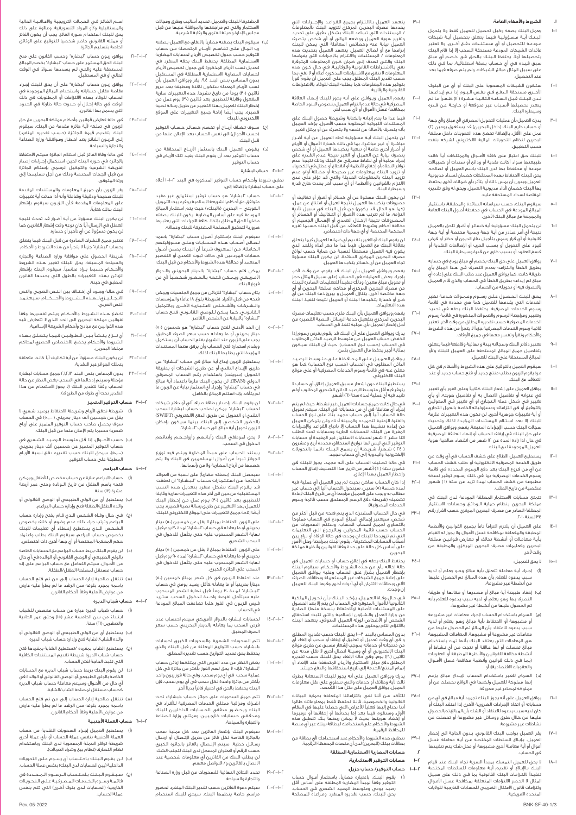#### .<br>الشروط والأحكام العامة:

- 1-1 يعمل البنك بصفة وكيل تحصيل للعميل فقط وال يتحمل لـبـنـك ايــة مـسـؤولـيـة فـيـمـا يتعلق بتحصيل ايــة شيـكات<br>مـودعـة للتحصيل أو أي مـسـتـنـدات دفــع أخــرى. ولا تعتبر عائدات الشيكات المودعة مستحقة السحب إلا إذا قام البنك<br>بتحصيلها أولاً. يحتفظ البنك بالحق فـي خـصـم أي مبلغ<br>سبق قـيـده فـي أي حـساب بـصفة استثنائية. بما فـي ذلك على سبيل المثال مبالغ الشيكات، ولم يتم صرفه فيما بعد عند التحصيل.
- 2-1 ستكون الشيكات المسحوبة على البنك أو أي من البنوك لاخـــرى مستحقة الــدفــع فــي نـفـس الـيــوم إذا تــم إيـداعــهـا<br>ــدى الـبـنـك قـبـل الـسـاعـة الـثـانـيــة عــشـرة (١٢) ظــهـراً مـا لـم يتعذر تحصيلها ألسـبـاب غير متوقعة أو خـارجـة عـن قـدرة وسيطرة البنك.
- 3-1 يدرك العميل بأن عمليات التحويل المصرفي ألي مبلغ وألي جهة و حساب خارج البنك (داخل البحرين) قد يستغرق يومين (٢)<br>عمل على الأقل. بالإضافة تخضع هذه التحويلات داخل مملكة البحرين لنظام التحويالت المالية االلكتروني لشركه بنفت .<br>التطبيق.
- 4-1 للبنك حـق امتياز على كافة األمـــوال والممتلكات أيـً كانت طبيعتها سواء أكانت نقدية أو ودائع أو سندات أو كمبياالت مودعة أو محتفظًا بها لدى البنك باسم العميل أو لصالحه. يحق للبنك االحتفاظ بهذه الممتلكات كضمان لسداد مديونية العميل وبدون أن يمس ذلك أو يتأثر بأي ضمانات أخرى يحتفظ بها البنك كضمان ألداء مديونية العميل، ويحق له وفق تقديره المقاصة لسداد المستحقة عليه.
- .<br>6- البنك، حسب سياساته السائدة والمطبقة، باستثر المبالغ المودعة في الحساب في محفظة أصول البنك العامة ل مجردت التي المستنبة لتالي.<br>مجة مع مبالغ البنك الأخرى.
- 6-1 لن يتحمل البنك مسؤولية أية خسائر أو أضرار تلحق بالعميل نتيجة أي أمـر صـادر من أيـة جهة رسمية مختصة أو أيـة جهة غانونية او اي قرار رسمي بتاجيل دفع الديون او حظر او فرض<br>غيود على التحويل أو بسبب الحرب أو الإصلاحات النقدية أو فسخ العقود أو بسبب خارج عن قدرة وسيطرة البنك.
- .<br>يوافق العميل على حق البنك بخصم أي مبلغ يودع في ح ـطريق الخطا والـتـزامـه بعدم التـصـرف فـي هـذا المبلغ باي<br>طريقة كانت، كما يوافق العميل عند طلب البنك على إعادة أي<br>عبلغ تم إيداعه بطريق الخطأ في الحساب والذي قام العميل بالتصرف فيه أو تحويله من الحساب.
- ۱۸۰ يحق للبنك الحصول على رسـوم وعـمـولات خـدمـة نظير<br>الخدمات التي يقدمها للعميل كما هي محددة في قائمة<br>الخدمات التي يقدمها لمصدق عندمات البنك بحقه في تحديد<br>وتغيير ومراجعة الرسوم والعمولات المذكررة في قائمة رسوم لخدمات المصرفية حسب تقديره المطلق من وقت لاخر. تعتبر<br>ثائمة رسوم الخدمات المصرفية جزءاً لا يتجزأ من هذه الشروط واألحكام وتقرأ وتفسر معها في جميع األوقات.
- 9-1 تعتبر دفاتر البنك وسجالته بينة و نهائية وقاطعة فيما يتعلق بتفاصيل جميع المبالغ المستحقة على العميل للبنك و/أو المبالغ المستحقة على البنك للعميل.
- 10-1 سيقوم العميل بالتوقيع على هذه الشروط واألحكام في كل مرة يقوم الزبون بطلب منتج جديد أو فتح حساب جديد أو عند التعاقد مع البنك.
- 11-1 يوافق العميل على إشعار البنك كتابيًا وعلى الفور بأي تغيير في عنوانه او تفاصيل الاتصال به او تفاصيل هويته، او باي<br>تغيير في شكل عمله الـتـجـاري او أي تغيير فـي المخولين<br>ـالتوقيع أو فـى التزاماته ومسؤولياته الخاصة بالعمل التجارى و أية تغييرات جوهرية اخرى. لن تكون هذه التغييرات ملزمة<br>لمبنك إلا بعد اسـتـلام المستندات الـمـؤيـدة لذلك وتحديث سجلات البنك حسب الإجراءات المتبعة. يفهم ويوافق العميل<br>على حق البنك في إيقاف الحساب أو إنهاء العلاقة المصرفية في حال اذا زادة المدة عن 12 شهر من انقضاء صالحية هوية العميل الموجودة لدى البنك.
- 12-1 يستطيع العميل االطالع على كشف الحساب في أي وقت عن طريق الخدمة المصرفية االلكترونية أو طلب كشف الحساب من اي من فـروع البنك بعد دفع الرسوم المحـددة في قائمة<br>رسـوم الخـدمات المصـرفية بما فـى ذلـك رسـوم توفيـر نـسخة .<br>بطبوعة من كشف الحساب لمدة تزيد عن ستة (١) شهور منقضية من تاريخ الطلب.
- .<br>تتمتع حسابات الاستثمار المطلقة المودعة لـدى البنك في مملكة البحرين بنظام حماية الـودائـع وحسابات االستثمار المطلقة الصادر من مصرف البحرين المركزي حسب القرار رقم 34 لسنة .2010
- 14-1 على العميل أن يلتزم التزامًا تامًا بجميع القوانين واألنظمة لمطبقة والمتعلقة بمكافحة غسل الاموال ولا يجوز له القيام<br>ـأيـة مـعـامـلات أو أنـشـطة تخالف أو تـعـارض قـوانـيـن مملكة البحرين وتعليمات مصرف البحرين المركزي والمطبقة من وقت آلخر.
	- لا يحق للعميل:
- )أ( إجــراء أيـة معاملة تتعلق بأية مبالغ وهـو يعلم أو لديه سبب يدعوه للعلم بأن هذه المبالغ تم الحصول عليها من أنشطة غير مشروعة،
- )ب( إخفاء طبيعة أية مبالغ أو مصدرها أو مكانها أو طريقة لتصرف بها وهو يعلم او لديه سبب يدعوه للعلم بانه<br>تم الحصول عليها من أنشطة غير مشروعة،
- )ج( السماح باستخدام الحساب إلجراء معامالت غير مشروعة و مشبوهة او الاحتفاظ باية مبالغ وهـو يعلم او لديه<br>سبب يدعوه للاعتقاد بأن المبالغ تم الحصول عليها من ععاملات غير مشروعة او مشبوهة، المعاملات المشبوهة<br>هي المعاملات التي يعتقد البنك بأنه اتمت باستخدام<br>بالم تحصلت أو لها علاقة ألبنك بأنه تحت من أي نـ نسلتخدام<br>بثماغة مخالفة للقوانين والظمة مكافحة غسل الأموال<br>نمـا فـى ذلـك قوا والعقوبات االقتصادية(؛ أو
- )د( السماح للغير باستخدام الحساب إليـــداع مبالغ يزعم إنها مملوكة للعميل ولكنها في الواقع تحصلت من أو مملوكة لمصادر غير معروفة.
- 16-1 يوافق العميل على أنه يجوز للبنك تجميد أية مبالغ في أي من حساباته أو اتخاذ اإلجراءات الضرورية األخرى إذا اعتقد البنك أو كان لديه سبب يدعوه لالعتقاد أو الشك بأن المبالغ تم الحصول عليها من خـال طـرق ووسائل غير مشروعة أو تحصلت عن نشاطات غير مشروعة.
- 17-1 يقر العميل بواجب البنك القانوني، بـدون الحاجة الى إخطار العميل، بـإبـاغ السلطات المختصة عـن أيــة معاملة غسل أموال أو أية معاملة أخرى مشبوهة أو محل شك يتم تنفيذها في الحساب.
- 18-1 ال يحق للعميل التمسك بمبدأ السرية تجاه البنك عند قيام لبنك بـالإبـاغ او تقديم ايـة معلومات للسلطات المختصة<br>تنفيذاً لالـتـزامات البنك القانونية بما فـى ذلـك على سبيل لمثال لا الحصر الالتزامات المتعلقة بمكافحة غسل الامـوال<br>ولتزامات قانون الامتثال الضريبى للحسابات الخارجية للولايات المتحدة االمريكية.

19-1 يتعهد العميل بـااللـتـزام بجميع الـقـواعـد واإلجـــــراءات التي يحددها مصرف البحرين المركزي لتزويد البنك بالمعلومات / المستندات التي تساعد البنك بشكل دقيق على تحديد وتقرير هوية العميل ووضعه المالي او اي شخص يتصرف<br>العميل نيابة عنه وخصائص المعاملة التي يمكن للبنك برامها مة او لصالح العربيل، يتعهد العجلي بتحديث عذه بنه<br>لعلي الأشتراطات القانونية والتي اتعهد العجلي لبتحديث منه<br>لبنك والتـتي تـهدف إلـى ضمان كـون المعلية في حال كـون متد منه<br>لمعلومات لا تتفق مع الشتراطات المذكورة أعاله أ

20-1 يفهم العميل ويـوافـق على أنـه يجوز للبنك إنـهـاء العالقة المصرفية في حالة عدم التزام العميل بنصوص البنود الخاصة بمكافحة غسل األموال أو ألي سبب آخر.

21-1 فيما عدا ما يتم إثباته بالكتابة وشريطة حصول البنك على المستندات الثبوتية المطلوبة حسب األصول، يؤكد العميل بأنه يتصرف باألصالة عن نفسه وال يتصرف عن أو يمثل الغير.

ا-CV ليتحمل البنك إية مسؤولية تجاه العميل عن ابنة الحرار<br>لن يتحمل البنك إليه السفولية تجماه العميل عن الجمال المرار الرابع<br>لم أضار الخرار أخرى خاصة أو تبعية يتكبدها العميل أو أي شخص<br>لم يتحمل نبابة عن العميل أو الخرية تبتد

..."P لن يكون البنك مسئولاً عن أو خسائر او أضرار أو تكاليف أو يكانيك مسئولاً تكاليف أو تكاليف أو الأمرار قائد<br>من يكون البنك مما لم تتركيب من قبل البنك في سبيل تأدية<br>أكدارامه، ما لم تترتب هذه الأصرار أو التكاليف أو المسئل

24-1 لن يقوم البنك أو الغير بتقديم أي ضمانه للعميل فيما يتعلق بعالقة البنك مع العميل. فيما عدا ما ذكر أعاله وللحد الذي يكون فيه العميل مستحقًا لنسبة من حماية حسب لوائح يصرف البحرين المركزي السائدة، لن يكون البنك مسؤولا<br>مصرف البحرين المركزي السائدة، لن يكون البنك مسؤولا<br>تجاه العميل عن أي خسائر يتكبدها العميل.

−٢٥ يغهم ويوافق العميل بان البنك قد يقوم، من وقت الخر.<br>باجراء بعض العميلات في الحساب (على سبيل المراقات)<br>باجراء بعض العميلات في الحميل العميل وليمن المرادرة للبنك<br>من مصرف البحرين المركزي أو محاكم مملكة البحرين أو أي<br>من هذه التعليمات.

26-1 يفهم ويوافق العميل بأن البنك ملزم حسب تعليمات مصرف البحرين المركزي بتفعيل خدمة الرسائل النصية القصيرة من أجل إخطار العميل بأي عملية تنفذ في الحساب.

- 27-1 يدرك ويوافق العميل على أن البنك قد يقوم بفرض رسوم إذا انخفض حساب العميل عن متوسط الرصيد الدائن المطلوب في الحساب )حسب نـوع الحساب(، حيث أن البنك سيكون بمثابة أجير يحفظ مال العميل بثمن.
- 28-1 يـــوافـــق الـعـمـيـل عـلـى الـمـحـافـظـة عـلـى مـتـوسـط الـرصـيـد الدائن المطلوب في الحساب )حسب نوع الحساب( كما هو معلن عنه في قائمة رسوم الخدمات المصرفية أو على موقع البنك االلكتروني.

29-1 يستطيع البنك دون اشعار مسبق العميل إغالق أي حساب ال يتوفر فيه أقل متوسط الرصيد الدائن الشهري المطلوب أولم يتوتر تيه الى تقوست الرسيد الدامل السا<br>تقيد فيه أي عملية لمدة ستة (٦) أشهر.

–،۳ في حال كانت جميع حسابات العميل غير لنشبة، حيث لم يتم<br>إجراء أو كانت جميع أي أي من حساباته في البنك سيتم تدويل حتى تجار<br>والفترة الزمنية لتجميد والمبينة أدناه أنن ولن يتمكن العميل<br>والفترة الزمنية لتجميده والمبينة أدناه و ( ۲٤ ) شـهـرا، شـريـطـة ان يسمح الـبـنـك دائـمـا بالتحويلات<br>الإلكترونية واليدوية إلى أي حساب مجمد.

31-1 في حالة تصنيف الحساب على أنـه مجمد، يجوز للبنك في غضون ستة ) 6( أشهر من تاريخ هذا التصنيف إغالق الحساب وإخطار العميل بهذا اإلغالق.

۱۴٬۰۰۰ الحساب ساكن بحيث لم يجر العميل ال عملية به<br>لما تكثير الحسب العربية سيتحول الحساب آليا إلى حساب غير<br>مطالب به ويجب على العميل مراجعة أي من فروغ البنك الإعادة<br>الخدمات المصرفية).<br>الخدمات المصرفية).

ـ PP في حال الحساب المشترك الذي يتم فتحه من قبل اكثر من<br>شكس بسعتتبر إجمالي المبلغ المودع في الحساب مملوكا<br>بالتساوي لجميع الحصاب الحساب، وستتم السابة والعالم و نزاح بين<br>التساوي الحسابات المشتركي وبحدث في حالة الوفاة أو لصحاب المسابات المستركة ، يعود البلاد بيرانينك ولس المورا<br>على أساس كل حالة على حدة وفقًا لقوانين وأنظمة مملكة<br>لبحرين. البحرين.

⊢6 — يحتفظ البنك بحقه في إغلاق حساب او حسابات العميل في<br>حالة إخلاله ، بأي من هذه الشروط والأحكام، سيقوم البنك<br>بإخلال العميل بـقـرار غلق الحساب وعليه جوافق العميل<br>على إعادة جميع الشيكات غير المستعملة وبطاقات الصراف<br>على إج

-<br>كـي حـال وفــاة الـعمـيـل، يـؤكـد الـبـنـك بــأن تـحـويـل الملكية<br>القانونية للأموال المتوفـة فمــ الحسابـــا بـــو القانونية للأموال المتوفرة في الحساب لن يتم إلا بعد الحصول<br>على المستندات الأصلية (والاحتفاظ بنسخة منها<br>من وزارة العدل والشؤون الإسلامية والتي تثبت استحقاق<br>الشخص أو الأشخاص لورثه العميل المتوفى. يتعهد البنك بااللتزام التام بمحتوى هذه المستندات.

ا–٣١ بحرن المبساس بالبند "البحرن للبنك حسب تقديره المطلق<br>و في أو مساس بالبند ""اب يحول لبنك حسب تقديره لم يقول له وقاء أو إلغاء أو إلغاء أو<br>من منتجاته أو خدماته بموجب إشعار مسبق عن طريق موقع<br>من منتجاته المرتدون أو وسيلة ا

37-1 يدرك ويوافق العميل على أنه يجوز للبنك االستعانة بطرف ثالث ألية وظائف أو خدمات والتي تنطوي على نقل معلومات العميل. يوافق العميل على مثل هذا التعهد.

⊢۱۸ لتاك من أننا نقي بالتزاماتنا المتعلقة بحماية البيانات<br>القانون عن أننا نقي بالتزاماتنا المتعلقة بحماية البيانات<br>أننا نحتاج إليها فعلياً للأغراض التي حصلنا عليها في المقام<br>أنا و ترمينها من تجار الجماعة أن بحققاء أو إذف

39-1 تنطبق هذه الشروط واألحكام عند استخدامك ألي بطاقة من بطاقات بيتك )البحرين( لدى أي منصات المحفظة الرقمية. .2 حسابات المضاربة االستثمارية المطلقة

1-2 حسابات التوفير االستثمارية:

1-1-2 حساب التوفير/ حساب جزيل:

)أ( يقوم البنك، باعتباره مضاربًا، باستثمار أمــوال حساب التوفير وفقًا لمبدأ المضاربة المطلقة على أسـاس أقل رصيد يومي ومتوسط الرصيد الشهري فـي الحساب. ً يحق للبنك، حسب تقديره المنفرد ومـراعـاة للمصلحة

Rev. 05-2022 BNK-SF-40-1/3

لمشتركة للبنك والعميل، تحديد اساليب وطرق ومجالات<br>لاستثمار والتي تم مراجعتها والموافقة عليها من قبل<br>مجلس الإدارة وهيئة الفتوى والرقابة الشرعية.

- )ب( سيقوم البنك بصفته مضاربًا باالتفاق مع العميل بصفته رب الــمــال عـلـى تـقـاسـم األربــــاح المتحصلة مــن حساب التوفير حسب جدول تخصيص األرباح لحسابات المضاربة لاستثمارية المطلقة. يحتفظ البنك بحقه المنفرد في<br>تعديل نسب الأرباح المذكورة في جدول تخصيص الأرباح<br>لحسابات المضاربة الاستثمارية المطلقة في المستقبل بدون المساس بنص البند ،9.4 يقر ويوافق العميل بأن نسب الاربـاح المعدلة ستكون نافذة ومطبقة بعد مرور<br>ثلاثين (٣٠) يوماً من تاريخ نشرها. هذه التغييرات سارية لمفعول وقابلة للتطبيق بعد ثلاثين (٣٠) يوم عمل من<br>|خطار البنك للعميل بهذا التغيير عن طريق رسالة نصية ً قصيرة. يجب أيضا إتاحة جميع التغييرات على الموقع .<br>الالكتروني للبنك
- )ج( ســـوف تـضـاف أربــــاح أو تخصم خـسـائـر حـسـاب التوفير )حسب األحوال( الى نفس الحساب بعد اإلعالن عنها من قبل البنك.
- )د( يـفـوض العميل البنك باستثمار األربـــاح المتحققة من حساب التوفير بعد أن يقوم البنك بقيد تلك األربـاح في حساب التوفير.

#### 2-1-2 حساب لبشارة

- تطبق شروط وأحكام حساب التوفير المذكورة في البند 1-1-2 أعاله ، سروط وصحاب للبشار.<br>مساب لبشارة بالإضافة إلى:
- 1-2-1-2 حساب "لبشارة" هو حساب توفير استثماري غير مقيد متوافق مع احكام الشريعة الإسلامية يوفره بيت التمويل<br>الكويتي – البحرين («البنك») حيث يتم استثمار المبالغ<br>المودعة فيه على أساس المضاربة. يكون للبنك بصفته مضاربًا الحق المطلق بإتخاذ كافة االجراءات التي يعتبرها ضرورية لتحقيق المصلحة المشتركة للبنك وعمالئه.
- 2-2-1-2 سيقوم البنك بإستثمار أصـول حساب "لبشارة" باسمه لـصـالـح أصــحــاب هـــذه الـحـسـابـات وعـلـى مسوؤليتهم الـكـامـلـة. مـن الـمـعـروف شـرعـً أن الـبـنـك يضمن أصـول حسابات المودعين في حـاالت ثبوت التعدي أو التقصير المتعمد أو مخالفة هذه الشروط واألحكام من قبل البنك.
- 3-2-1-2 يمكن فتح حساب "لبشارة" بالدينار البحريني والــدوالر األمــريــكــي ويـمـكـن فـتـحـه بـالـحـضـور شـخـصـيـً ألي من فروع البنك.
- 1–1–6 يتاح حساب "لبشارة" للزبائن من جميع الجنسيات ويمكن<br>فتحه من قبل الأفراد (شريطة بلوغ ١٨ عاماً) والمؤسسات<br>والـشـركـات والأشـخـاص الاعـتـبـاريـة الأخــرى وبالتمثيل الـقـانـونـي. كـمـا يمكن لـلـوصـي الـقـانـونـي فـتـح حساب<br>'لبـشارة\* بالنيابة عن الشخص القاصر.
	- 5-2-1-2 إن الحد األدنــى لفتح حساب "لبشارة" هو خمسون )50( دينار بحريني او ما يعادله حسب سعر الصرف المطبق.<br>يجب على الزبون عند الشروع بفتح الحساب أن يستكمل ويقدم استمارة فتح الحساب وأن يرفق معها المستندات المؤيدة التي يطلبها البنك لذلك.
	- 6-2-1-2 يستطيع الزبون إيداع أية مبالغ في حساب "لبشارة" عن طريق الإيــداع النقدي أو عن طريق الشيكات أو بطريقة<br>التحويل (سويفت) باستخدام رقـم الحساب المصرفي<br>الدولي (IBAN). لن يكون البنك ملزماً باعتماد أية مبالغ في حساب "لبشارة" وإجراء أي استثمار نيابةً عن الزبون ما<br>لم يتأكد بإنه استلم المبالغ بالكامل.
- 7-2-1-2 لن يقوم البنك بإصدار بطاقة صراف آلي أو دفتر شيكات لحساب "لبشارة" .يمكن لصاحب حساب لبشارة السحب النقدي او التحويل عن طريق الدفع الالكتروني (SWIFT)<br>بالحضور الشخصي إلـى البنك. بينما سيكون بإمكان .<br>الزبون تحويل أية مبالغ الى حساب "لبشارة".
	- 1−1−1− لا يحق لموظفي البنك وابـائـهـم وأزواجــهــم وأبنائهم<br>الدخول في السحب.
	- 9-2-1-2 يستند الحساب على مـبـدأ المضاربة ويـتـم فيه توزيع الجوائز تبرعا من امـوال المساهمين في البنك ولا يتم<br>خصمها من أرباح المضاربة ولا من رأسمالها.
	- 10-2-1-2 سيحصل البنك )بصفته مضاربًا( على نسبة من العوائد الـنـاتـجـة عــن اسـتـثـمـارات حـسـاب "لــبــشــارة" ان تحققت. قـد يـقـوم البنك بشكل منفرد بتعديل هــذه النسب<br>المستقبلية من حين الى آخر هـذه التغييرات سارية وقابلة<br>للتطبيق بعد ثلاثين (٣٠) يـوم عمل مـن إخـطار البنك للعميل بهذا التغيير عن طريق رسالة نصية قصيرة. يجب ً أيضا إتاحة جميع التغييرات على الموقع االلكتروني للبنك.
	- 1−1−1−1 على الزبون الاحتفاظ بمبلغ لا يقل عن خمسين (٥٠) دينار )<br>بحريني أو ما يعادله في حساب "لبشارة" لمدة ،۳ يوم قبل نهاية الشهر المسحوب عليه حتى يتاهل للدخول في<br>السحب الشهري.
	- 12-2-1-2 على الزبون االحتفاظ بمبلغ ال يقل عن خمسين )50( دينار بحريني او ما يعادله في حساب "لبشارة" لمدة ٩٠ يوم قبل<br>نهاية الشهر المسحوب عليه حتى يتأهل للدخول فى السحب على الجائزة الكبرى.
- 13-2-1-2 عند احتفاظ الـزبـون في كل شهر بمبلغ خمسين )50( دينارًا بحرينيًا أو ما يعادله كأقل رصيد يومي في حساب "لـبـشـارة" لـمـدة 30 يـومـً قبل نهاية الشهر المسحوب عليه سيتأهل لفرصة واحـــدة لـدخـول السحب. ستزيد فـرص الـزبـون في الفوز كلما تضاعفت المبالغ المودعة في الحساب.
	- 14-2-1-2 لحسابات لبشارة بالدوالر األمريكي سيتم احتساب عدد فيسابات ليساره بالدودر الاسريسي لسيسا السعاد.<br>فرص السحب بما يعادله بالدينار البحريني حسب سعر الصرف المطبق
- 15-2-1-2 تتم السحوبات الشهرية والسحوبات الكبرى لحسابات »لبشارة« حسب التواريخ المعلنة من قبل البنك والذي يحتفظ بحق تحديد التواريخ حسب تقديره المطلق.
	- 16-2-1-2 بغض النظر عن عدد الفرص التي يمتلكها زبائن حساب "لبشارة"، فإنه ال يحق لهم الفوز بأكثر من جائزة في كل عملية سحب في اي يوم سحب. وفي حالة فوز زبون واحد<br>بأكثر من جائزة واحدة لكل سحب في أي يوم سحب، فإن<br>البنك يحتفظ بالحق في اختيار فائزاً بديلاً آخر.
	- 17-2-1-2 تتم جميع السحوبات على جوائز حساب »لبشارة« تحت اشــراف ومراقبة ممثلي الخدمات المصرفية لـأفـراد في البنك وبـحـضـور مدققي الـحـسـابـات الداخليين للبنك ومـدقـقـي حـسـابـات خـارجـيـيـن وممثلي وزارة الصناعة .<br>والتجارة والسياحة.
	- 18-2-1-2 سيقوم البنك بإشعار الفائزين بعد كل عملية سحب بالجائزة الخاصة لكل فائز عن طريق الإتـصـال او ارسـال<br>رسائـل خطية. سيتم الإتـصـال بالفائز بالجائزة الـكبرى<br>حسب الرقم|و العنوان|لمسجل|لدى|لبنك|لتجنب|لشك، لن يطلب البنك من الفائزين أي معلومات شخصية عند االتصال بالفائزين و/ التواصل معهم.
- 19-2-1-2 تحدد النتائج النهائية للسحوبات من قبل وزارة الصناعة والتجارة والسياحة.
- 20-2-1-2 سيتم دعوة الفائزين حسب تقدير البنك المنفرد لحضور مراسم خاصة ينظمها البنك. سيحق للبنك استخدام

.<br>م الـفـائـز فـي الـحـمـات الترويجية والاعـانـيـة الحالية والمستقبلية و/أو المواد التسويقية. وعـالوة عـلى ذلك<br>يحق للبنك استخدام صـورة الفائز. يجب أن يكون الفائز<br>أو مـثـله القانوني حاضر شخصيا للتوقيع على الوثائق<br>الخاصة بتسليم الجائزة.

- 21-2-1-2 يوافق زبـون حساب "لبشارة" وحسب القانون على منح البنك الحق المستمر على حساب "لبشارة" بخصم المبالغ ً المستحقة عليه والـتـي لـم يسددها ســـواء فـي الوقت الحالي أو في المستقبل.
- 22-2-1-2 يوافق زبـون حساب "لبشارة" على أن يحق للبنك إجـراء بوسي رجون — ...<br>مقاصة مقابل حساباته واستخدام المبالغ الموجودة في الحساب للوفاء بهذه االلتزامات أو المطلوبات في ذلك الوقت في حالة إخـال أو حـدوث حالة طارئة في الحدود .<br>التي يسمح بها القانون.
- 23-2-1-2 في حالة تعارض قوانين وأحكام مملكة البحرين مع حق الزبون في تملكه ألية جائزة مقدمة من البنك، سيقوم البنك بتقديم قيمة الجـائـزة (حـسـب تقديره المنفرد)<br>إلـى الـزبـون الـفـائـز بعد اخــطـار ومـوافـقـة وزارة الـصـناعة .<br>والتجارة والسياحة.
- 24-2-1-2 في حالة وفاة الفائز قبل استالم الجائزة سيتم االحتفاظ بالجائزة في حـوزة البنك لحين استـكمال إجـراءات إصدار<br>الفريضة الشرعية والتوكيل الرسمي بإستلام الجائزة<br>من قبل الجـمات المختصة وذلك من أجل تسليمـها إلى ورثة المتوفى.
- 25-2-1-2 يقر الزبون بأن جميع المعلومات والمستندات المقدمة للبنك صحيحة ودقيقة وشاملة وأنه أذا حدثت أية تغييرات على المعلومات المقدمة فـأن الـزبـون سيقوم بإشعار ً البنك بذلك كتابة.
- C−F−1−T لن يكون البنك مسؤولا عن أيـة أضـرار قد تحدث نتيجة العطل في الإرسال ايا كان نوعه وقت إشعار الفائزين كما<br>لن يكون مسؤولاً عن أى تأخير أو خسارة.
- 27-2-1-2 تعتبر جميع النشرات الصادرة من قبل البنك فيما يتعلق بحساب "لبشارة" جزءًا ال يتجزأ من هذه الشروط واألحكام.
- 28-2-1-2 شريطة الحصول على موافقة وزارة الصناعة والتجارة والسياحة المسبقة، يحق للبنك تغيير هـذه الشروط واألحـكـام حسبما يــراه مناسبًا. سيقوم البنك بإشعار الزبائن بهذه التغييرات بالطرق التي يحددها القانون المطبق في حينه.
- 29-2-1-2 فـي حـالـة وجـــود أي إخـتـاف بين الـنـص الـعـربـي والنص ــ<br>ــلـيــزي لــهــذه الـــشـــروط والأحـــكـــام، سـيـع النص العربي.
- 30-2-1-2 تخضع هــذه الــشــروط واألحــكــام ويـتـم تفسيرها وفقًا لقوانين مملكة البحرين الى الحد الـذي لا تتعارض فيه<br>هذه القوانين مع مبادئ وأحكام الشريعة الإسلامية.
- 1−1−1−1 أي نـــزاع يــنـشـا بـيــن الــطــرفـيــن فـيــمـا يــــحـمــن فــــده<br>الـشــروط والأحـكام يخضع للاختصاص الحصري لمحاكم ..<br>مملكة البحرين.
- F−I−I−T لن يكون البنك مسؤولاً عن أية تكاليف أياً كانت متعلقة بن يبلون البلك المسوود عر<br>بتملك الجوائز غير النقدية.
- 33-2-1-2 بدون المساس بنص البند 2.1.2.13 جميع حسابات لبشارة مؤهلة وسيتم إدخالها في السحب بغض النظر عن حالة<br>الحساب وفقًا لتقدير البنك (لا يجوز الاستعلام عن هذا التقدير تحت أي ظرف من الظروف).

#### 3-1-2 حساب التوفير المتميز

- )أ( شريطة تحقق األرباح وشريطة االحتفاظ برصيد شهري ال يقل عن خمسين ألف دينار بحريني (٥٠,٠٠٠) في الحساب<br>سوف يحصل صاحب حساب التوفير المتميز على أرباح شهرية حسبما يتم اإلعالن عنها من قبل البنك.
- )ب( حسب األحــــوال، إذا قـل متوسط الـرصـيـد الـشـهـري في حساب التوفير المتميز عن خمسين الف دينار بحريني<br>(٥٠٫٠٠٠)، سيحق للبنك حسب تقديره دفع نسبة الأرباح المطبقة على حساب التوفير.

#### 4-1-2 حساب البراعم

- )أ( حساب البراعم عبارة عن حساب مخصص لألطفال ويمكن لسف البراسم للبارة عن تسمت المستشر للمسمان ويهتش<br>لتحه باسم الطفل من تاريخ الــوالدة وحتى عمر أربعة .<br>مشرق (۱۶) سنة.
- )ب( يستطيع أي من الولي الطبيعي أو الوصي القانوني أو والدة الطفل/الطفلة فتح وإدارة حساب البراعم.
- (ج) فـي حــال وفــاة الـشخـص الــذي قــام بفتح وإدارة حـساب<br>البـراعم وترتب جراء ذلك عدم وضوح أو خلاف بخصوص الـشـخـص الــذي يستطيع إعــطـاء اي تعليمات للبنك<br>بخصوص حساب البراعم، سيقوم البنك بطلب واعتماد<br>حكم المحكمة المختصة أو أى جـهة أخرى ذات اختـصاص.
- )د( لن يقوم البنك بربط حساب البراعم مع الحسابات الخاصة بالولي الطبيعي أو الوصي القانوني أو الوالدة في أي حال<br>من الأحوال. سيتم التعامل مع حساب البراعم على إنه حساب مستقل لمصلحة الطفل/الطفلة.
- (هـ) تنتقل صالحية إدارة الحساب إلـى من تم فتح الحساب<br>باسمه بحجيد بامغه سن البشد والصيوابأ عليه واب باسمه بمجرد بلوغه سن الرشد ما لم يطرأ عليه عارض .<br>من عوارض الأهلية وفقاً لأحكام القانون.

#### 5-1-2 حساب شباب الديرة

6-1-2 حساب العملة األجنبية

عملة الحساب.

- )أ( حساب شباب الديرة عبارة عن حساب مخصص للشباب ابـتـداء من سن الخامسة عشر )15( وحتى عمر الحادية <u>ً</u> والعشرين )21( سنة.
- )ب( يستطيع أي من الولي الطبيعي أو الوصي القانوني أو والدة الشاب/الشابة فتح وإدارة حساب شباب الديرة.
- (ج) يستطيع الشاب بمفرده /تستطيع الشابة بمفردها فتح<br>حساب شباب الديرة شريطة تقديم المستندات الكافية التي تثبت الحاجة لفتح الحساب.

(د) لن يقوم البنك بربط حساب شباب الديرة معّ الحسابات<br>أطالت الطبيعي العباب الموسيّة والوصيّ القانوني أو الوالدة في<br>أي حال من الأحوال وسيتم معاملة حساب شباب الديرة<br>كحساب مستقل لىصلحة الشاب/الشابة. (هـ) - تنتقل صالحية إدارة الحساب إلـى من تم فتح الحساب<br>- باين عب عبد باعده سنة البشيط الصنابات عليه باسمه بمجرد بلوغه سن الرشد ما لم يطرأ عليه عارض

باسية بمبرد بنوعة سن الرسد فا ما ع<br>من عوارض الأهلية وفقاً لأحكام القانون.

)أ( يستطيع العميل إجـراء السحوبات النقدية من حساب العملة الأجنبية بنفس عملة الحساب أو بأي عملة أخرى<br>شريطة توافر العملة المسحوبة لدى البنك وباستخدام<br>نظام التصارف (نظام بيعَ وشراء العملات). )ب( لــن يـقـوم الـبـنـك بـاحـتـسـاب أي رســـوم عـلـى التحويالت .<br>الداخلية (بين الحسابات لدى البنك) بنفس عملة الحساب. )ج( ســيــقــوم الــبــنــك بــاحــتــســاب الــــرســــوم الـــمـــحـــددة في قـائـمـة رســـوم الــخــدمــات الـمــصــرفـيـة عــلـى الـتـحـويــالت<br>الخارجية (الحسابات لــدى بنوك أخــرى) التـى تتم بنفس